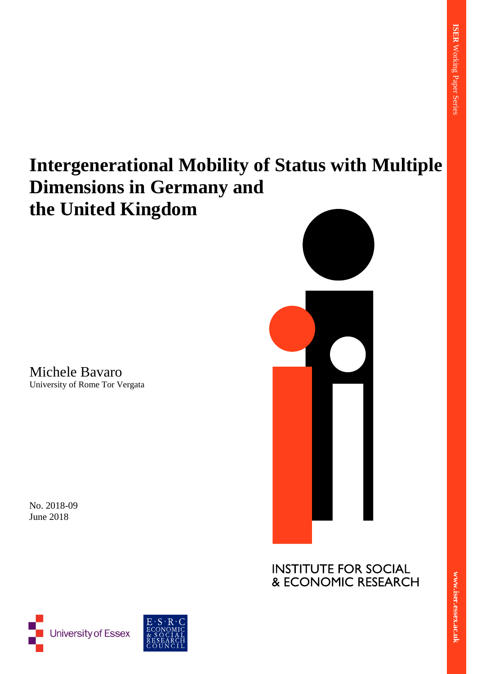# **Intergenerational Mobility of Status with Multiple Dimensions in Germany and the United Kingdom**

Michele Bavaro University of Rome Tor Vergata

No. 2018-09 June 2018



**INSTITUTE FOR SOCIAL** & ECONOMIC RESEARCH



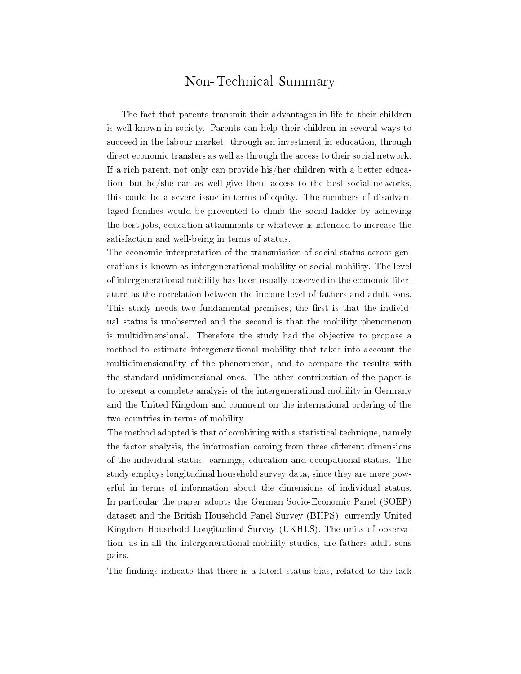## Non-Technical Summary

The fact that parents transmit their advantages in life to their children is well-known in society. Parents can help their children in several ways to succeed in the labour market: through an investment in education, through direct economic transfers as well as through the access to their social network. If a rich parent, not only can provide his/her children with a better education, but he/she can as well give them access to the best social networks, this could be a severe issue in terms of equity. The members of disadvantaged families would be prevented to climb the social ladder by achieving the best jobs, education attainments or whatever is intended to increase the satisfaction and well-being in terms of status.

The economic interpretation of the transmission of social status across generations is known as intergenerational mobility or social mobility. The level of intergenerational mobility has been usually observed in the economic literature as the correlation between the income level of fathers and adult sons. This study needs two fundamental premises, the first is that the individual status is unobserved and the second is that the mobility phenomenon is multidimensional. Therefore the study had the objective to propose a method to estimate intergenerational mobility that takes into account the multidimensionality of the phenomenon, and to compare the results with the standard unidimensional ones. The other contribution of the paper is to present a complete analysis of the intergenerational mobility in Germany and the United Kingdom and comment on the international ordering of the two countries in terms of mobility.

The method adopted is that of combining with a statistical technique, namely the factor analysis, the information coming from three different dimensions of the individual status: earnings, education and occupational status. The study employs longitudinal household survey data, since they are more powerful in terms of information about the dimensions of individual status. In particular the paper adopts the German Socio-Economic Panel (SOEP) dataset and the British Household Panel Survey (BHPS), currently United Kingdom Household Longitudinal Survey (UKHLS). The units of observation, as in all the intergenerational mobility studies, are fathers-adult sons pairs.

The findings indicate that there is a latent status bias, related to the lack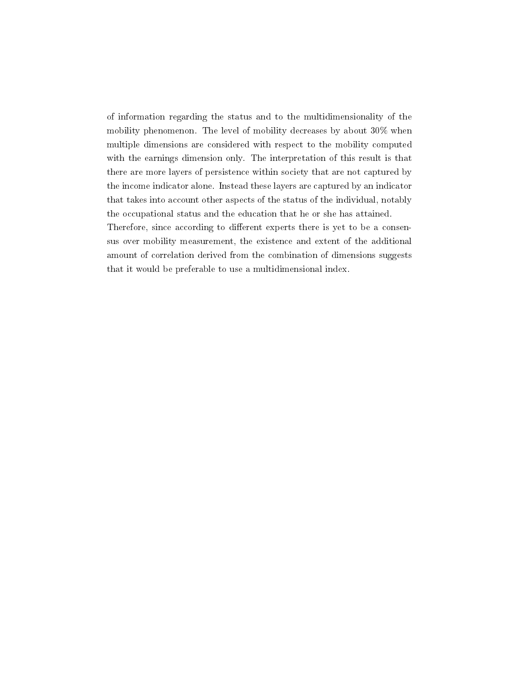of information regarding the status and to the multidimensionality of the mobility phenomenon. The level of mobility decreases by about 30% when multiple dimensions are considered with respect to the mobility computed with the earnings dimension only. The interpretation of this result is that there are more layers of persistence within society that are not captured by the income indicator alone. Instead these layers are captured by an indicator that takes into account other aspects of the status of the individual, notably the occupational status and the education that he or she has attained. Therefore, since according to different experts there is yet to be a consensus over mobility measurement, the existence and extent of the additional amount of correlation derived from the combination of dimensions suggests that it would be preferable to use a multidimensional index.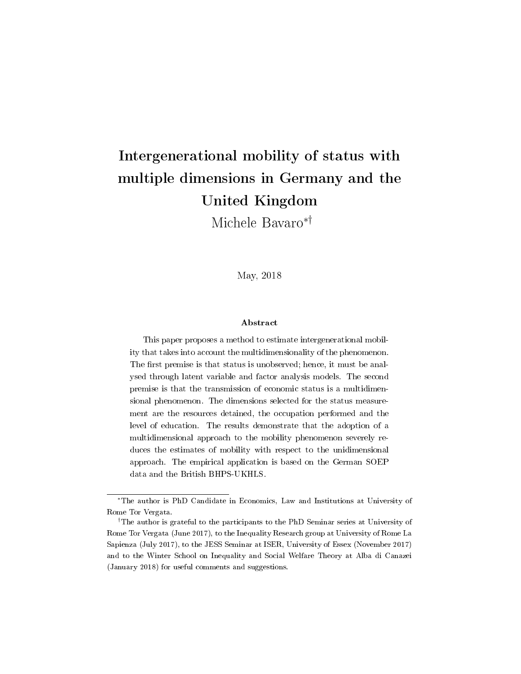## Intergenerational mobility of status with multiple dimensions in Germany and the United Kingdom

Michele Bavaro∗†

May, 2018

#### Abstract

This paper proposes a method to estimate intergenerational mobility that takes into account the multidimensionality of the phenomenon. The first premise is that status is unobserved; hence, it must be analysed through latent variable and factor analysis models. The second premise is that the transmission of economic status is a multidimensional phenomenon. The dimensions selected for the status measurement are the resources detained, the occupation performed and the level of education. The results demonstrate that the adoption of a multidimensional approach to the mobility phenomenon severely reduces the estimates of mobility with respect to the unidimensional approach. The empirical application is based on the German SOEP data and the British BHPS-UKHLS.

<sup>∗</sup>The author is PhD Candidate in Economics, Law and Institutions at University of Rome Tor Vergata.

<sup>†</sup>The author is grateful to the participants to the PhD Seminar series at University of Rome Tor Vergata (June 2017), to the Inequality Research group at University of Rome La Sapienza (July 2017), to the JESS Seminar at ISER, University of Essex (November 2017) and to the Winter School on Inequality and Social Welfare Theory at Alba di Canazei (January 2018) for useful comments and suggestions.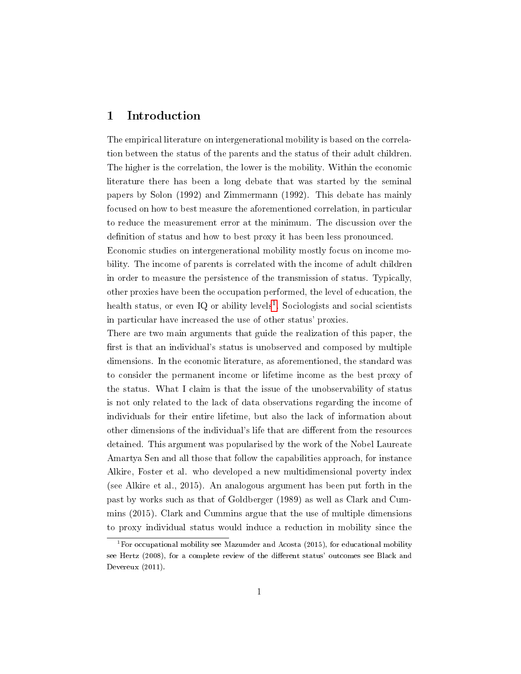#### 1 Introduction

The empirical literature on intergenerational mobility is based on the correlation between the status of the parents and the status of their adult children. The higher is the correlation, the lower is the mobility. Within the economic literature there has been a long debate that was started by the seminal papers by Solon (1992) and Zimmermann (1992). This debate has mainly focused on how to best measure the aforementioned correlation, in particular to reduce the measurement error at the minimum. The discussion over the definition of status and how to best proxy it has been less pronounced.

Economic studies on intergenerational mobility mostly focus on income mobility. The income of parents is correlated with the income of adult children in order to measure the persistence of the transmission of status. Typically, other proxies have been the occupation performed, the level of education, the health status, or even IQ or ability levels<sup>[1](#page-4-0)</sup>. Sociologists and social scientists in particular have increased the use of other status' proxies.

There are two main arguments that guide the realization of this paper, the first is that an individual's status is unobserved and composed by multiple dimensions. In the economic literature, as aforementioned, the standard was to consider the permanent income or lifetime income as the best proxy of the status. What I claim is that the issue of the unobservability of status is not only related to the lack of data observations regarding the income of individuals for their entire lifetime, but also the lack of information about other dimensions of the individual's life that are different from the resources detained. This argument was popularised by the work of the Nobel Laureate Amartya Sen and all those that follow the capabilities approach, for instance Alkire, Foster et al. who developed a new multidimensional poverty index (see Alkire et al., 2015). An analogous argument has been put forth in the past by works such as that of Goldberger (1989) as well as Clark and Cummins (2015). Clark and Cummins argue that the use of multiple dimensions to proxy individual status would induce a reduction in mobility since the

<span id="page-4-0"></span><sup>&</sup>lt;sup>1</sup>For occupational mobility see Mazumder and Acosta (2015), for educational mobility see Hertz (2008), for a complete review of the different status' outcomes see Black and Devereux (2011).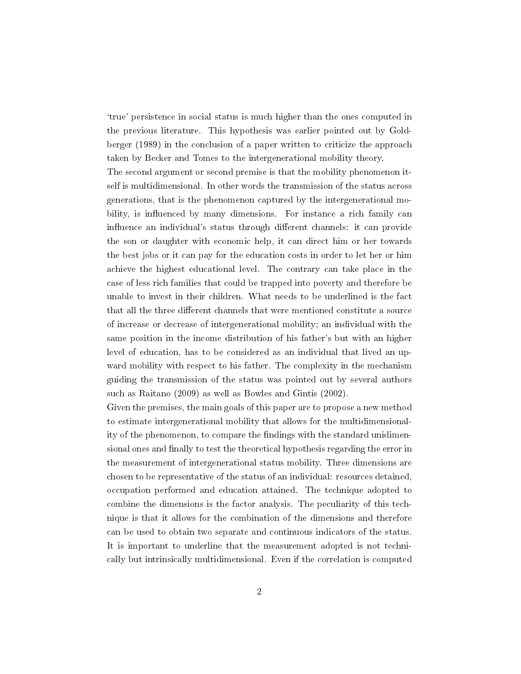`true' persistence in social status is much higher than the ones computed in the previous literature. This hypothesis was earlier pointed out by Goldberger (1989) in the conclusion of a paper written to criticize the approach taken by Becker and Tomes to the intergenerational mobility theory.

The second argument or second premise is that the mobility phenomenon itself is multidimensional. In other words the transmission of the status across generations, that is the phenomenon captured by the intergenerational mobility, is influenced by many dimensions. For instance a rich family can influence an individual's status through different channels: it can provide the son or daughter with economic help, it can direct him or her towards the best jobs or it can pay for the education costs in order to let her or him achieve the highest educational level. The contrary can take place in the case of less rich families that could be trapped into poverty and therefore be unable to invest in their children. What needs to be underlined is the fact that all the three different channels that were mentioned constitute a source of increase or decrease of intergenerational mobility; an individual with the same position in the income distribution of his father's but with an higher level of education, has to be considered as an individual that lived an upward mobility with respect to his father. The complexity in the mechanism guiding the transmission of the status was pointed out by several authors such as Raitano (2009) as well as Bowles and Gintis (2002).

Given the premises, the main goals of this paper are to propose a new method to estimate intergenerational mobility that allows for the multidimensionality of the phenomenon, to compare the findings with the standard unidimensional ones and finally to test the theoretical hypothesis regarding the error in the measurement of intergenerational status mobility. Three dimensions are chosen to be representative of the status of an individual: resources detained, occupation performed and education attained. The technique adopted to combine the dimensions is the factor analysis. The peculiarity of this technique is that it allows for the combination of the dimensions and therefore can be used to obtain two separate and continuous indicators of the status. It is important to underline that the measurement adopted is not technically but intrinsically multidimensional. Even if the correlation is computed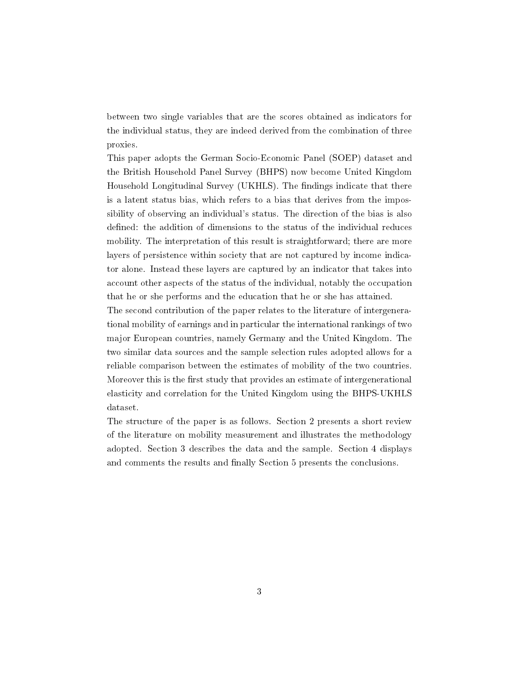between two single variables that are the scores obtained as indicators for the individual status, they are indeed derived from the combination of three proxies.

This paper adopts the German Socio-Economic Panel (SOEP) dataset and the British Household Panel Survey (BHPS) now become United Kingdom Household Longitudinal Survey (UKHLS). The findings indicate that there is a latent status bias, which refers to a bias that derives from the impossibility of observing an individual's status. The direction of the bias is also defined: the addition of dimensions to the status of the individual reduces mobility. The interpretation of this result is straightforward; there are more layers of persistence within society that are not captured by income indicator alone. Instead these layers are captured by an indicator that takes into account other aspects of the status of the individual, notably the occupation that he or she performs and the education that he or she has attained.

The second contribution of the paper relates to the literature of intergenerational mobility of earnings and in particular the international rankings of two major European countries, namely Germany and the United Kingdom. The two similar data sources and the sample selection rules adopted allows for a reliable comparison between the estimates of mobility of the two countries. Moreover this is the first study that provides an estimate of intergenerational elasticity and correlation for the United Kingdom using the BHPS-UKHLS dataset.

The structure of the paper is as follows. Section 2 presents a short review of the literature on mobility measurement and illustrates the methodology adopted. Section 3 describes the data and the sample. Section 4 displays and comments the results and finally Section 5 presents the conclusions.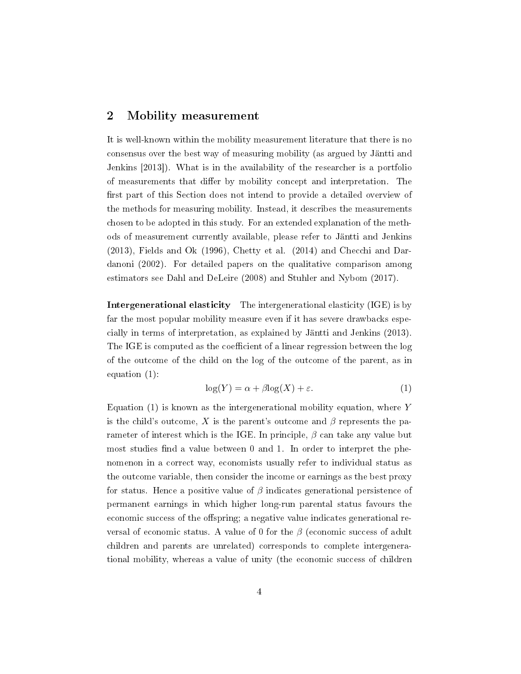#### 2 Mobility measurement

It is well-known within the mobility measurement literature that there is no consensus over the best way of measuring mobility (as argued by Jäntti and Jenkins [2013]). What is in the availability of the researcher is a portfolio of measurements that differ by mobility concept and interpretation. The first part of this Section does not intend to provide a detailed overview of the methods for measuring mobility. Instead, it describes the measurements chosen to be adopted in this study. For an extended explanation of the methods of measurement currently available, please refer to Jäntti and Jenkins (2013), Fields and Ok (1996), Chetty et al. (2014) and Checchi and Dardanoni (2002). For detailed papers on the qualitative comparison among estimators see Dahl and DeLeire (2008) and Stuhler and Nybom (2017).

Intergenerational elasticity The intergenerational elasticity (IGE) is by far the most popular mobility measure even if it has severe drawbacks especially in terms of interpretation, as explained by Jäntti and Jenkins (2013). The IGE is computed as the coefficient of a linear regression between the log of the outcome of the child on the log of the outcome of the parent, as in equation (1):

$$
\log(Y) = \alpha + \beta \log(X) + \varepsilon. \tag{1}
$$

Equation  $(1)$  is known as the intergenerational mobility equation, where Y is the child's outcome, X is the parent's outcome and  $\beta$  represents the parameter of interest which is the IGE. In principle,  $\beta$  can take any value but most studies find a value between  $0$  and  $1$ . In order to interpret the phenomenon in a correct way, economists usually refer to individual status as the outcome variable, then consider the income or earnings as the best proxy for status. Hence a positive value of  $\beta$  indicates generational persistence of permanent earnings in which higher long-run parental status favours the economic success of the offspring; a negative value indicates generational reversal of economic status. A value of 0 for the  $\beta$  (economic success of adult children and parents are unrelated) corresponds to complete intergenerational mobility, whereas a value of unity (the economic success of children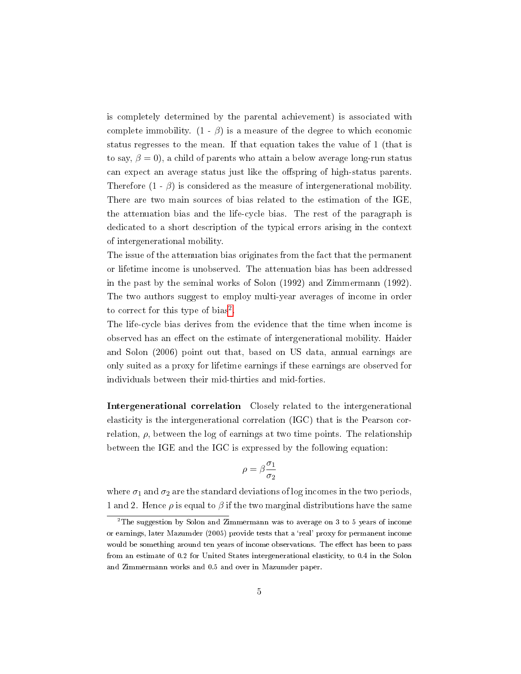is completely determined by the parental achievement) is associated with complete immobility.  $(1 - \beta)$  is a measure of the degree to which economic status regresses to the mean. If that equation takes the value of 1 (that is to say,  $\beta = 0$ , a child of parents who attain a below average long-run status can expect an average status just like the offspring of high-status parents. Therefore  $(1 - \beta)$  is considered as the measure of intergenerational mobility. There are two main sources of bias related to the estimation of the IGE, the attenuation bias and the life-cycle bias. The rest of the paragraph is dedicated to a short description of the typical errors arising in the context of intergenerational mobility.

The issue of the attenuation bias originates from the fact that the permanent or lifetime income is unobserved. The attenuation bias has been addressed in the past by the seminal works of Solon (1992) and Zimmermann (1992). The two authors suggest to employ multi-year averages of income in order to correct for this type of bias<sup>[2](#page-8-0)</sup>.

The life-cycle bias derives from the evidence that the time when income is observed has an effect on the estimate of intergenerational mobility. Haider and Solon (2006) point out that, based on US data, annual earnings are only suited as a proxy for lifetime earnings if these earnings are observed for individuals between their mid-thirties and mid-forties.

Intergenerational correlation Closely related to the intergenerational elasticity is the intergenerational correlation (IGC) that is the Pearson correlation,  $\rho$ , between the log of earnings at two time points. The relationship between the IGE and the IGC is expressed by the following equation:

$$
\rho=\beta\frac{\sigma_1}{\sigma_2}
$$

where  $\sigma_1$  and  $\sigma_2$  are the standard deviations of log incomes in the two periods, 1 and 2. Hence  $\rho$  is equal to  $\beta$  if the two marginal distributions have the same

<span id="page-8-0"></span><sup>2</sup>The suggestion by Solon and Zimmermann was to average on 3 to 5 years of income or earnings, later Mazumder (2005) provide tests that a 'real' proxy for permanent income would be something around ten years of income observations. The effect has been to pass from an estimate of 0.2 for United States intergenerational elasticity, to 0.4 in the Solon and Zimmermann works and 0.5 and over in Mazumder paper.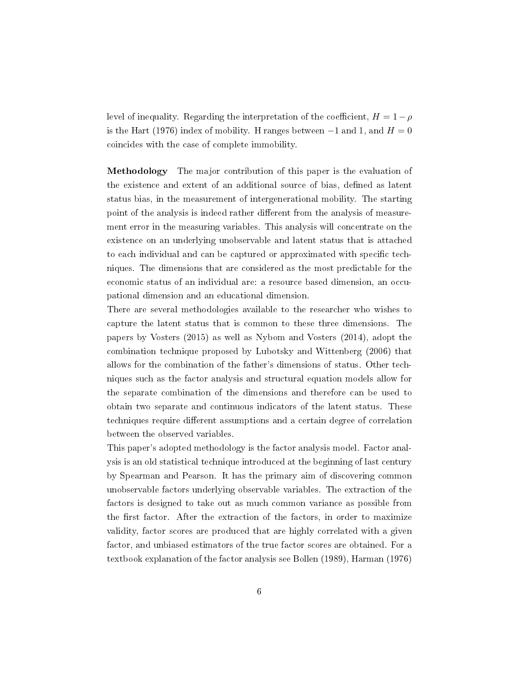level of inequality. Regarding the interpretation of the coefficient,  $H = 1 - \rho$ is the Hart (1976) index of mobility. H ranges between  $-1$  and 1, and  $H = 0$ coincides with the case of complete immobility.

Methodology The major contribution of this paper is the evaluation of the existence and extent of an additional source of bias, defined as latent status bias, in the measurement of intergenerational mobility. The starting point of the analysis is indeed rather different from the analysis of measurement error in the measuring variables. This analysis will concentrate on the existence on an underlying unobservable and latent status that is attached to each individual and can be captured or approximated with specific techniques. The dimensions that are considered as the most predictable for the economic status of an individual are: a resource based dimension, an occupational dimension and an educational dimension.

There are several methodologies available to the researcher who wishes to capture the latent status that is common to these three dimensions. The papers by Vosters (2015) as well as Nybom and Vosters (2014), adopt the combination technique proposed by Lubotsky and Wittenberg (2006) that allows for the combination of the father's dimensions of status. Other techniques such as the factor analysis and structural equation models allow for the separate combination of the dimensions and therefore can be used to obtain two separate and continuous indicators of the latent status. These techniques require different assumptions and a certain degree of correlation between the observed variables.

This paper's adopted methodology is the factor analysis model. Factor analysis is an old statistical technique introduced at the beginning of last century by Spearman and Pearson. It has the primary aim of discovering common unobservable factors underlying observable variables. The extraction of the factors is designed to take out as much common variance as possible from the first factor. After the extraction of the factors, in order to maximize validity, factor scores are produced that are highly correlated with a given factor, and unbiased estimators of the true factor scores are obtained. For a textbook explanation of the factor analysis see Bollen (1989), Harman (1976)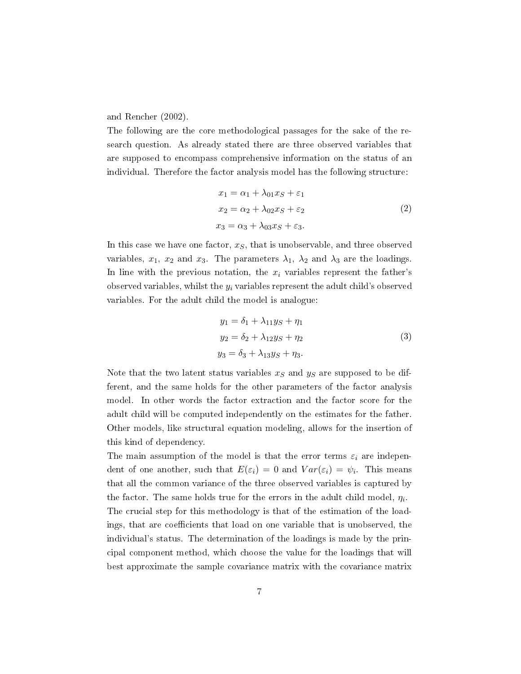and Rencher (2002).

The following are the core methodological passages for the sake of the research question. As already stated there are three observed variables that are supposed to encompass comprehensive information on the status of an individual. Therefore the factor analysis model has the following structure:

$$
x_1 = \alpha_1 + \lambda_{01} x_S + \varepsilon_1
$$
  
\n
$$
x_2 = \alpha_2 + \lambda_{02} x_S + \varepsilon_2
$$
  
\n
$$
x_3 = \alpha_3 + \lambda_{03} x_S + \varepsilon_3.
$$
\n(2)

In this case we have one factor,  $x<sub>S</sub>$ , that is unobservable, and three observed variables,  $x_1$ ,  $x_2$  and  $x_3$ . The parameters  $\lambda_1$ ,  $\lambda_2$  and  $\lambda_3$  are the loadings. In line with the previous notation, the  $x_i$  variables represent the father's observed variables, whilst the  $y_i$  variables represent the adult child's observed variables. For the adult child the model is analogue:

$$
y_1 = \delta_1 + \lambda_{11} y_S + \eta_1
$$
  
\n
$$
y_2 = \delta_2 + \lambda_{12} y_S + \eta_2
$$
  
\n
$$
y_3 = \delta_3 + \lambda_{13} y_S + \eta_3.
$$
\n(3)

Note that the two latent status variables  $x<sub>S</sub>$  and  $y<sub>S</sub>$  are supposed to be different, and the same holds for the other parameters of the factor analysis model. In other words the factor extraction and the factor score for the adult child will be computed independently on the estimates for the father. Other models, like structural equation modeling, allows for the insertion of this kind of dependency.

The main assumption of the model is that the error terms  $\varepsilon_i$  are independent of one another, such that  $E(\varepsilon_i) = 0$  and  $Var(\varepsilon_i) = \psi_i$ . This means that all the common variance of the three observed variables is captured by the factor. The same holds true for the errors in the adult child model,  $\eta_i$ . The crucial step for this methodology is that of the estimation of the loadings, that are coefficients that load on one variable that is unobserved, the individual's status. The determination of the loadings is made by the principal component method, which choose the value for the loadings that will best approximate the sample covariance matrix with the covariance matrix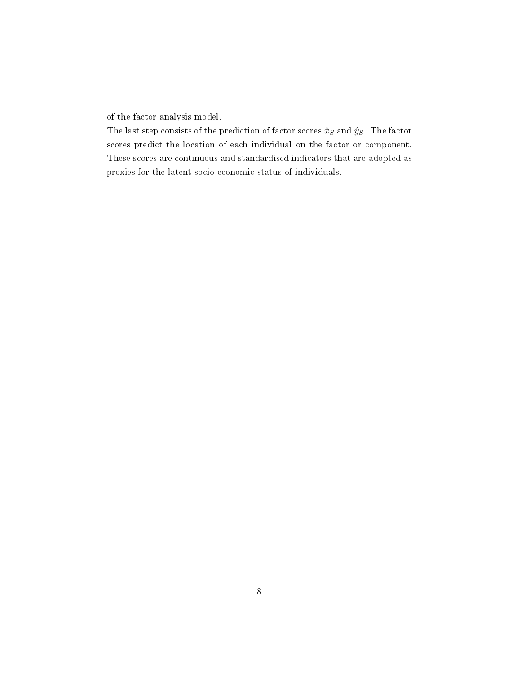of the factor analysis model.

The last step consists of the prediction of factor scores  $\hat{x}_S$  and  $\hat{y}_S$ . The factor scores predict the location of each individual on the factor or component. These scores are continuous and standardised indicators that are adopted as proxies for the latent socio-economic status of individuals.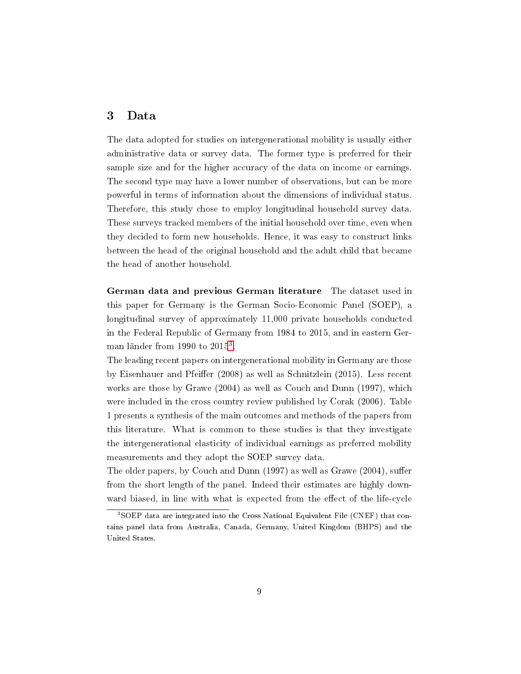#### 3 Data

The data adopted for studies on intergenerational mobility is usually either administrative data or survey data. The former type is preferred for their sample size and for the higher accuracy of the data on income or earnings. The second type may have a lower number of observations, but can be more powerful in terms of information about the dimensions of individual status. Therefore, this study chose to employ longitudinal household survey data. These surveys tracked members of the initial household over time, even when they decided to form new households. Hence, it was easy to construct links between the head of the original household and the adult child that became the head of another household.

German data and previous German literature The dataset used in this paper for Germany is the German Socio-Economic Panel (SOEP), a longitudinal survey of approximately 11,000 private households conducted in the Federal Republic of Germany from 1984 to 2015, and in eastern German länder from  $1990$  to  $2015^3$  $2015^3$ .

The leading recent papers on intergenerational mobility in Germany are those by Eisenhauer and Pfeiffer (2008) as well as Schnitzlein (2015). Less recent works are those by Grawe (2004) as well as Couch and Dunn (1997), which were included in the cross country review published by Corak (2006). Table 1 presents a synthesis of the main outcomes and methods of the papers from this literature. What is common to these studies is that they investigate the intergenerational elasticity of individual earnings as preferred mobility measurements and they adopt the SOEP survey data.

The older papers, by Couch and Dunn  $(1997)$  as well as Grawe  $(2004)$ , suffer from the short length of the panel. Indeed their estimates are highly downward biased, in line with what is expected from the effect of the life-cycle

<span id="page-12-0"></span><sup>3</sup>SOEP data are integrated into the Cross National Equivalent File (CNEF) that contains panel data from Australia, Canada, Germany, United Kingdom (BHPS) and the United States.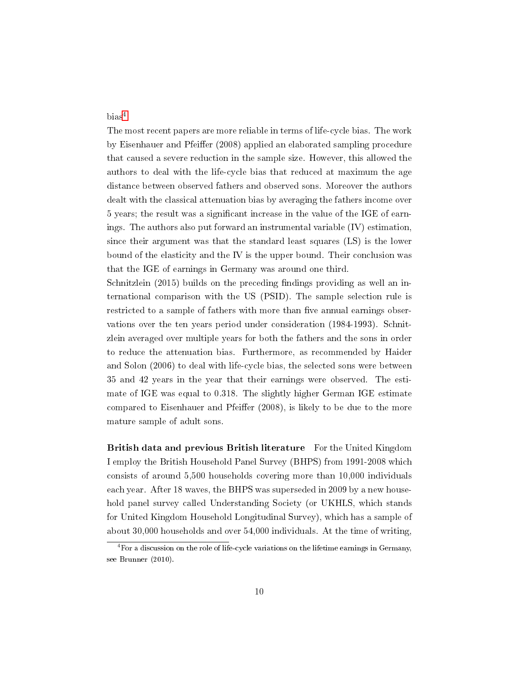$bias<sup>4</sup>$  $bias<sup>4</sup>$  $bias<sup>4</sup>$ .

The most recent papers are more reliable in terms of life-cycle bias. The work by Eisenhauer and Pfeiffer (2008) applied an elaborated sampling procedure that caused a severe reduction in the sample size. However, this allowed the authors to deal with the life-cycle bias that reduced at maximum the age distance between observed fathers and observed sons. Moreover the authors dealt with the classical attenuation bias by averaging the fathers income over 5 years; the result was a signicant increase in the value of the IGE of earnings. The authors also put forward an instrumental variable (IV) estimation, since their argument was that the standard least squares (LS) is the lower bound of the elasticity and the IV is the upper bound. Their conclusion was that the IGE of earnings in Germany was around one third.

Schnitzlein  $(2015)$  builds on the preceding findings providing as well an international comparison with the US (PSID). The sample selection rule is restricted to a sample of fathers with more than five annual earnings observations over the ten years period under consideration (1984-1993). Schnitzlein averaged over multiple years for both the fathers and the sons in order to reduce the attenuation bias. Furthermore, as recommended by Haider and Solon (2006) to deal with life-cycle bias, the selected sons were between 35 and 42 years in the year that their earnings were observed. The estimate of IGE was equal to 0.318. The slightly higher German IGE estimate compared to Eisenhauer and Pfeiffer (2008), is likely to be due to the more mature sample of adult sons.

British data and previous British literature For the United Kingdom I employ the British Household Panel Survey (BHPS) from 1991-2008 which consists of around 5,500 households covering more than 10,000 individuals each year. After 18 waves, the BHPS was superseded in 2009 by a new household panel survey called Understanding Society (or UKHLS, which stands for United Kingdom Household Longitudinal Survey), which has a sample of about 30,000 households and over 54,000 individuals. At the time of writing,

<span id="page-13-0"></span> $4$ For a discussion on the role of life-cycle variations on the lifetime earnings in Germany, see Brunner (2010).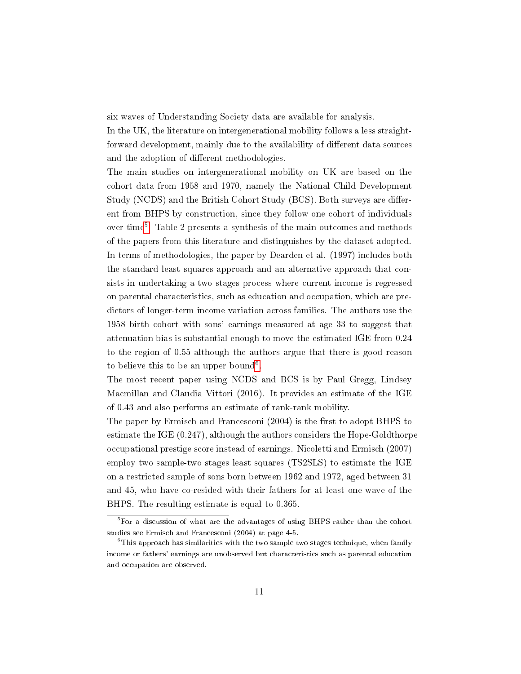six waves of Understanding Society data are available for analysis.

In the UK, the literature on intergenerational mobility follows a less straightforward development, mainly due to the availability of different data sources and the adoption of different methodologies.

The main studies on intergenerational mobility on UK are based on the cohort data from 1958 and 1970, namely the National Child Development Study (NCDS) and the British Cohort Study (BCS). Both surveys are different from BHPS by construction, since they follow one cohort of individuals over time<sup>[5](#page-14-0)</sup>. Table 2 presents a synthesis of the main outcomes and methods of the papers from this literature and distinguishes by the dataset adopted. In terms of methodologies, the paper by Dearden et al. (1997) includes both the standard least squares approach and an alternative approach that consists in undertaking a two stages process where current income is regressed on parental characteristics, such as education and occupation, which are predictors of longer-term income variation across families. The authors use the 1958 birth cohort with sons' earnings measured at age 33 to suggest that attenuation bias is substantial enough to move the estimated IGE from 0.24 to the region of 0.55 although the authors argue that there is good reason to believe this to be an upper bound<sup>[6](#page-14-1)</sup>.

The most recent paper using NCDS and BCS is by Paul Gregg, Lindsey Macmillan and Claudia Vittori (2016). It provides an estimate of the IGE of 0.43 and also performs an estimate of rank-rank mobility.

The paper by Ermisch and Francesconi (2004) is the first to adopt BHPS to estimate the IGE (0.247), although the authors considers the Hope-Goldthorpe occupational prestige score instead of earnings. Nicoletti and Ermisch (2007) employ two sample-two stages least squares (TS2SLS) to estimate the IGE on a restricted sample of sons born between 1962 and 1972, aged between 31 and 45, who have co-resided with their fathers for at least one wave of the BHPS. The resulting estimate is equal to 0.365.

<span id="page-14-0"></span> ${}^{5}$ For a discussion of what are the advantages of using BHPS rather than the cohort studies see Ermisch and Francesconi (2004) at page 4-5.

<span id="page-14-1"></span> $6$ This approach has similarities with the two sample two stages technique, when family income or fathers' earnings are unobserved but characteristics such as parental education and occupation are observed.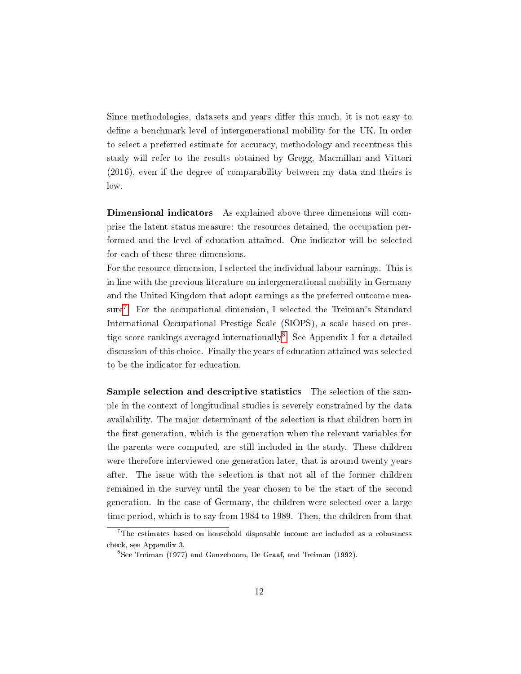Since methodologies, datasets and years differ this much, it is not easy to define a benchmark level of intergenerational mobility for the UK. In order to select a preferred estimate for accuracy, methodology and recentness this study will refer to the results obtained by Gregg, Macmillan and Vittori (2016), even if the degree of comparability between my data and theirs is low.

Dimensional indicators As explained above three dimensions will comprise the latent status measure: the resources detained, the occupation performed and the level of education attained. One indicator will be selected for each of these three dimensions.

For the resource dimension, I selected the individual labour earnings. This is in line with the previous literature on intergenerational mobility in Germany and the United Kingdom that adopt earnings as the preferred outcome mea-sure<sup>[7](#page-15-0)</sup>. For the occupational dimension, I selected the Treiman's Standard International Occupational Prestige Scale (SIOPS), a scale based on pres-tige score rankings averaged internationally<sup>[8](#page-15-1)</sup>. See Appendix 1 for a detailed discussion of this choice. Finally the years of education attained was selected to be the indicator for education.

Sample selection and descriptive statistics The selection of the sample in the context of longitudinal studies is severely constrained by the data availability. The major determinant of the selection is that children born in the first generation, which is the generation when the relevant variables for the parents were computed, are still included in the study. These children were therefore interviewed one generation later, that is around twenty years after. The issue with the selection is that not all of the former children remained in the survey until the year chosen to be the start of the second generation. In the case of Germany, the children were selected over a large time period, which is to say from 1984 to 1989. Then, the children from that

<span id="page-15-0"></span> $7$ The estimates based on household disposable income are included as a robustness check, see Appendix 3.

<span id="page-15-1"></span><sup>8</sup>See Treiman (1977) and Ganzeboom, De Graaf, and Treiman (1992).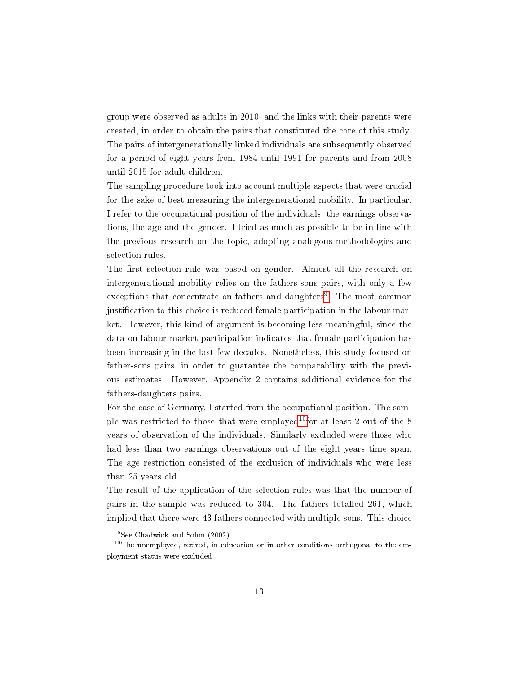group were observed as adults in 2010, and the links with their parents were created, in order to obtain the pairs that constituted the core of this study. The pairs of intergenerationally linked individuals are subsequently observed for a period of eight years from 1984 until 1991 for parents and from 2008 until 2015 for adult children.

The sampling procedure took into account multiple aspects that were crucial for the sake of best measuring the intergenerational mobility. In particular, I refer to the occupational position of the individuals, the earnings observations, the age and the gender. I tried as much as possible to be in line with the previous research on the topic, adopting analogous methodologies and selection rules.

The first selection rule was based on gender. Almost all the research on intergenerational mobility relies on the fathers-sons pairs, with only a few exceptions that concentrate on fathers and daughters<sup>[9](#page-16-0)</sup>. The most common justification to this choice is reduced female participation in the labour market. However, this kind of argument is becoming less meaningful, since the data on labour market participation indicates that female participation has been increasing in the last few decades. Nonetheless, this study focused on father-sons pairs, in order to guarantee the comparability with the previous estimates. However, Appendix 2 contains additional evidence for the fathers-daughters pairs.

For the case of Germany, I started from the occupational position. The sam-ple was restricted to those that were employed<sup>[10](#page-16-1)</sup>for at least 2 out of the 8 years of observation of the individuals. Similarly excluded were those who had less than two earnings observations out of the eight years time span. The age restriction consisted of the exclusion of individuals who were less than 25 years old.

The result of the application of the selection rules was that the number of pairs in the sample was reduced to 304. The fathers totalled 261, which implied that there were 43 fathers connected with multiple sons. This choice

<span id="page-16-1"></span><span id="page-16-0"></span><sup>&</sup>lt;sup>9</sup>See Chadwick and Solon (2002).

 $10$ The unemployed, retired, in education or in other conditions orthogonal to the employment status were excluded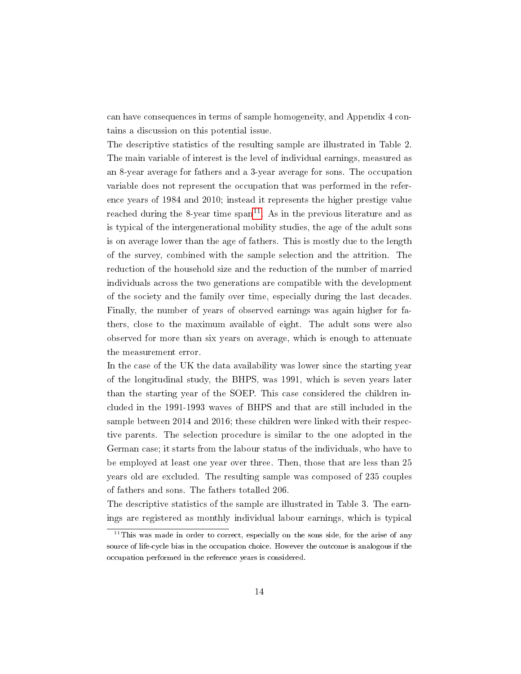can have consequences in terms of sample homogeneity, and Appendix 4 contains a discussion on this potential issue.

The descriptive statistics of the resulting sample are illustrated in Table 2. The main variable of interest is the level of individual earnings, measured as an 8-year average for fathers and a 3-year average for sons. The occupation variable does not represent the occupation that was performed in the reference years of 1984 and 2010; instead it represents the higher prestige value reached during the 8-year time  $\text{span}^{11}$  $\text{span}^{11}$  $\text{span}^{11}$ . As in the previous literature and as is typical of the intergenerational mobility studies, the age of the adult sons is on average lower than the age of fathers. This is mostly due to the length of the survey, combined with the sample selection and the attrition. The reduction of the household size and the reduction of the number of married individuals across the two generations are compatible with the development of the society and the family over time, especially during the last decades. Finally, the number of years of observed earnings was again higher for fathers, close to the maximum available of eight. The adult sons were also observed for more than six years on average, which is enough to attenuate the measurement error.

In the case of the UK the data availability was lower since the starting year of the longitudinal study, the BHPS, was 1991, which is seven years later than the starting year of the SOEP. This case considered the children included in the 1991-1993 waves of BHPS and that are still included in the sample between 2014 and 2016; these children were linked with their respective parents. The selection procedure is similar to the one adopted in the German case; it starts from the labour status of the individuals, who have to be employed at least one year over three. Then, those that are less than 25 years old are excluded. The resulting sample was composed of 235 couples of fathers and sons. The fathers totalled 206.

The descriptive statistics of the sample are illustrated in Table 3. The earnings are registered as monthly individual labour earnings, which is typical

<span id="page-17-0"></span> $11$ This was made in order to correct, especially on the sons side, for the arise of any source of life-cycle bias in the occupation choice. However the outcome is analogous if the occupation performed in the reference years is considered.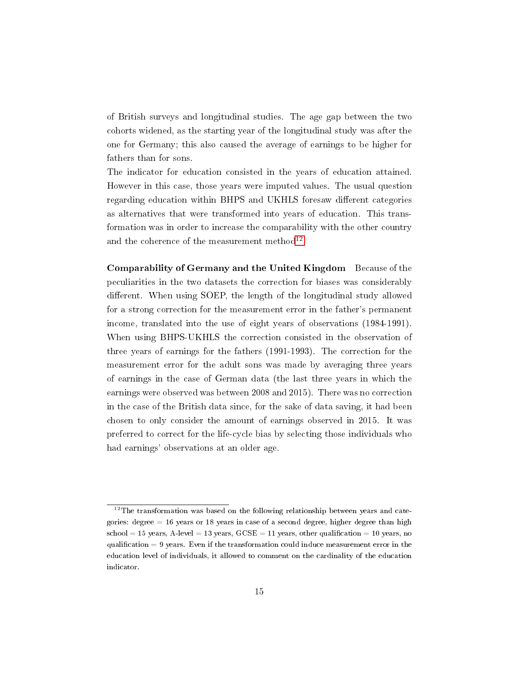of British surveys and longitudinal studies. The age gap between the two cohorts widened, as the starting year of the longitudinal study was after the one for Germany; this also caused the average of earnings to be higher for fathers than for sons.

The indicator for education consisted in the years of education attained. However in this case, those years were imputed values. The usual question regarding education within BHPS and UKHLS foresaw different categories as alternatives that were transformed into years of education. This transformation was in order to increase the comparability with the other country and the coherence of the measurement method $^{12}.$  $^{12}.$  $^{12}.$ 

Comparability of Germany and the United Kingdom Because of the peculiarities in the two datasets the correction for biases was considerably different. When using SOEP, the length of the longitudinal study allowed for a strong correction for the measurement error in the father's permanent income, translated into the use of eight years of observations (1984-1991). When using BHPS-UKHLS the correction consisted in the observation of three years of earnings for the fathers (1991-1993). The correction for the measurement error for the adult sons was made by averaging three years of earnings in the case of German data (the last three years in which the earnings were observed was between 2008 and 2015). There was no correction in the case of the British data since, for the sake of data saving, it had been chosen to only consider the amount of earnings observed in 2015. It was preferred to correct for the life-cycle bias by selecting those individuals who had earnings' observations at an older age.

<span id="page-18-0"></span> $12$ The transformation was based on the following relationship between years and categories: degree  $= 16$  years or 18 years in case of a second degree, higher degree than high  $school = 15 years, A-level = 13 years, GCSE = 11 years, other qualification = 10 years, no$ qualification  $= 9$  years. Even if the transformation could induce measurement error in the education level of individuals, it allowed to comment on the cardinality of the education indicator.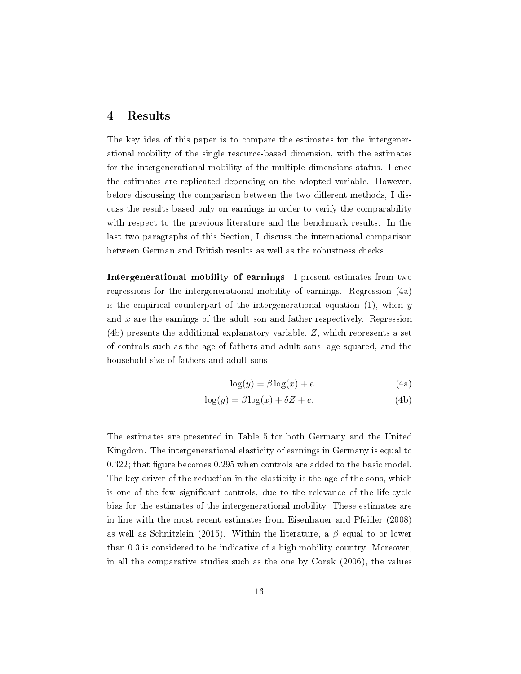#### 4 Results

The key idea of this paper is to compare the estimates for the intergenerational mobility of the single resource-based dimension, with the estimates for the intergenerational mobility of the multiple dimensions status. Hence the estimates are replicated depending on the adopted variable. However, before discussing the comparison between the two different methods, I discuss the results based only on earnings in order to verify the comparability with respect to the previous literature and the benchmark results. In the last two paragraphs of this Section, I discuss the international comparison between German and British results as well as the robustness checks.

Intergenerational mobility of earnings I present estimates from two regressions for the intergenerational mobility of earnings. Regression (4a) is the empirical counterpart of the intergenerational equation  $(1)$ , when y and  $x$  are the earnings of the adult son and father respectively. Regression (4b) presents the additional explanatory variable, Z, which represents a set of controls such as the age of fathers and adult sons, age squared, and the household size of fathers and adult sons.

$$
\log(y) = \beta \log(x) + e \tag{4a}
$$

$$
\log(y) = \beta \log(x) + \delta Z + e. \tag{4b}
$$

The estimates are presented in Table 5 for both Germany and the United Kingdom. The intergenerational elasticity of earnings in Germany is equal to  $0.322$ ; that figure becomes  $0.295$  when controls are added to the basic model. The key driver of the reduction in the elasticity is the age of the sons, which is one of the few signicant controls, due to the relevance of the life-cycle bias for the estimates of the intergenerational mobility. These estimates are in line with the most recent estimates from Eisenhauer and Pfeiffer (2008) as well as Schnitzlein (2015). Within the literature, a  $\beta$  equal to or lower than 0.3 is considered to be indicative of a high mobility country. Moreover, in all the comparative studies such as the one by Corak (2006), the values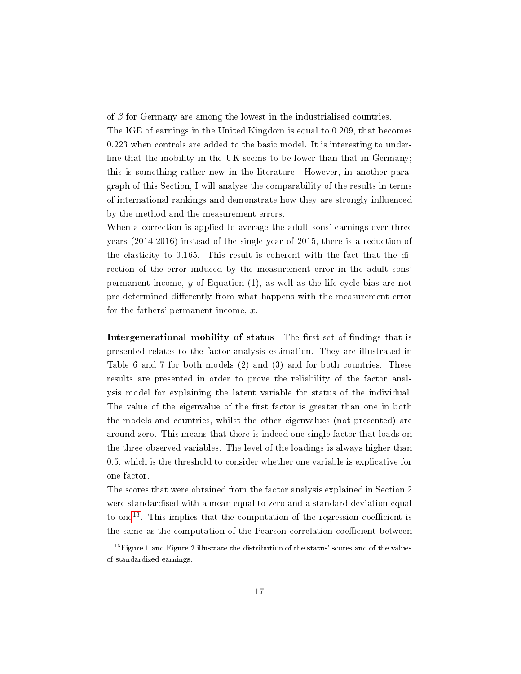of  $\beta$  for Germany are among the lowest in the industrialised countries. The IGE of earnings in the United Kingdom is equal to 0.209, that becomes 0.223 when controls are added to the basic model. It is interesting to underline that the mobility in the UK seems to be lower than that in Germany; this is something rather new in the literature. However, in another paragraph of this Section, I will analyse the comparability of the results in terms of international rankings and demonstrate how they are strongly influenced by the method and the measurement errors.

When a correction is applied to average the adult sons' earnings over three years (2014-2016) instead of the single year of 2015, there is a reduction of the elasticity to 0.165. This result is coherent with the fact that the direction of the error induced by the measurement error in the adult sons' permanent income,  $y$  of Equation (1), as well as the life-cycle bias are not pre-determined differently from what happens with the measurement error for the fathers' permanent income,  $x$ .

Intergenerational mobility of status The first set of findings that is presented relates to the factor analysis estimation. They are illustrated in Table 6 and 7 for both models (2) and (3) and for both countries. These results are presented in order to prove the reliability of the factor analysis model for explaining the latent variable for status of the individual. The value of the eigenvalue of the first factor is greater than one in both the models and countries, whilst the other eigenvalues (not presented) are around zero. This means that there is indeed one single factor that loads on the three observed variables. The level of the loadings is always higher than 0.5, which is the threshold to consider whether one variable is explicative for one factor.

The scores that were obtained from the factor analysis explained in Section 2 were standardised with a mean equal to zero and a standard deviation equal to one<sup>[13](#page-20-0)</sup>. This implies that the computation of the regression coefficient is the same as the computation of the Pearson correlation coefficient between

<span id="page-20-0"></span> $13$ Figure 1 and Figure 2 illustrate the distribution of the status' scores and of the values of standardized earnings.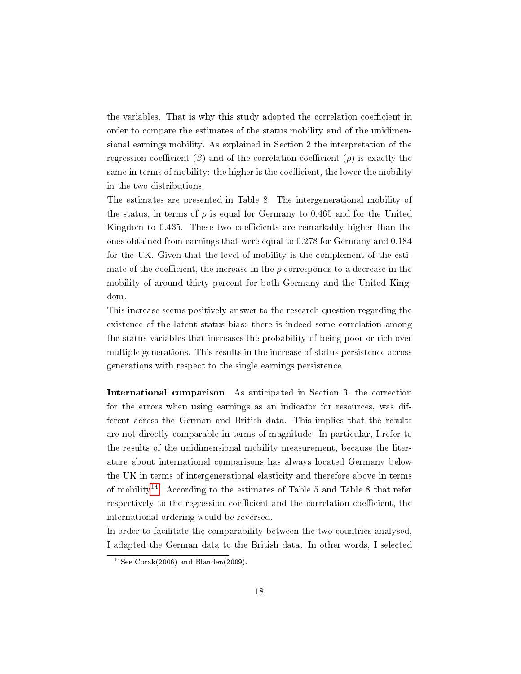the variables. That is why this study adopted the correlation coefficient in order to compare the estimates of the status mobility and of the unidimensional earnings mobility. As explained in Section 2 the interpretation of the regression coefficient  $(\beta)$  and of the correlation coefficient  $(\rho)$  is exactly the same in terms of mobility: the higher is the coefficient, the lower the mobility in the two distributions.

The estimates are presented in Table 8. The intergenerational mobility of the status, in terms of  $\rho$  is equal for Germany to 0.465 and for the United Kingdom to 0.435. These two coefficients are remarkably higher than the ones obtained from earnings that were equal to 0.278 for Germany and 0.184 for the UK. Given that the level of mobility is the complement of the estimate of the coefficient, the increase in the  $\rho$  corresponds to a decrease in the mobility of around thirty percent for both Germany and the United Kingdom.

This increase seems positively answer to the research question regarding the existence of the latent status bias: there is indeed some correlation among the status variables that increases the probability of being poor or rich over multiple generations. This results in the increase of status persistence across generations with respect to the single earnings persistence.

International comparison As anticipated in Section 3, the correction for the errors when using earnings as an indicator for resources, was different across the German and British data. This implies that the results are not directly comparable in terms of magnitude. In particular, I refer to the results of the unidimensional mobility measurement, because the literature about international comparisons has always located Germany below the UK in terms of intergenerational elasticity and therefore above in terms of mobility<sup>[14](#page-21-0)</sup>. According to the estimates of Table 5 and Table 8 that refer respectively to the regression coefficient and the correlation coefficient, the international ordering would be reversed.

In order to facilitate the comparability between the two countries analysed, I adapted the German data to the British data. In other words, I selected

<span id="page-21-0"></span><sup>&</sup>lt;sup>14</sup>See Corak(2006) and Blanden(2009).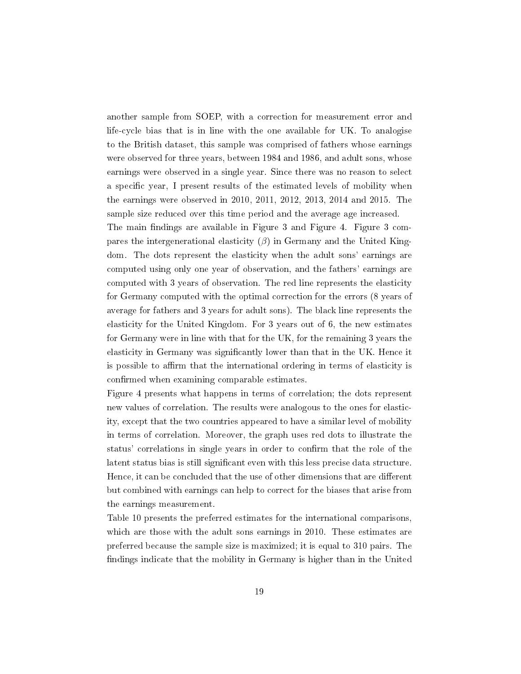another sample from SOEP, with a correction for measurement error and life-cycle bias that is in line with the one available for UK. To analogise to the British dataset, this sample was comprised of fathers whose earnings were observed for three years, between 1984 and 1986, and adult sons, whose earnings were observed in a single year. Since there was no reason to select a specific year, I present results of the estimated levels of mobility when the earnings were observed in 2010, 2011, 2012, 2013, 2014 and 2015. The sample size reduced over this time period and the average age increased.

The main findings are available in Figure 3 and Figure 4. Figure 3 compares the intergenerational elasticity  $(\beta)$  in Germany and the United Kingdom. The dots represent the elasticity when the adult sons' earnings are computed using only one year of observation, and the fathers' earnings are computed with 3 years of observation. The red line represents the elasticity for Germany computed with the optimal correction for the errors (8 years of average for fathers and 3 years for adult sons). The black line represents the elasticity for the United Kingdom. For 3 years out of 6, the new estimates for Germany were in line with that for the UK, for the remaining 3 years the elasticity in Germany was signicantly lower than that in the UK. Hence it is possible to affirm that the international ordering in terms of elasticity is confirmed when examining comparable estimates.

Figure 4 presents what happens in terms of correlation; the dots represent new values of correlation. The results were analogous to the ones for elasticity, except that the two countries appeared to have a similar level of mobility in terms of correlation. Moreover, the graph uses red dots to illustrate the status' correlations in single years in order to confirm that the role of the latent status bias is still significant even with this less precise data structure. Hence, it can be concluded that the use of other dimensions that are different but combined with earnings can help to correct for the biases that arise from the earnings measurement.

Table 10 presents the preferred estimates for the international comparisons, which are those with the adult sons earnings in 2010. These estimates are preferred because the sample size is maximized; it is equal to 310 pairs. The findings indicate that the mobility in Germany is higher than in the United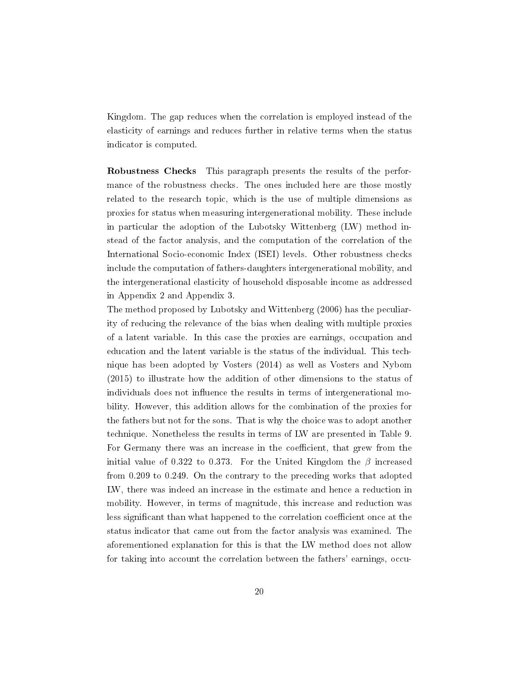Kingdom. The gap reduces when the correlation is employed instead of the elasticity of earnings and reduces further in relative terms when the status indicator is computed.

Robustness Checks This paragraph presents the results of the performance of the robustness checks. The ones included here are those mostly related to the research topic, which is the use of multiple dimensions as proxies for status when measuring intergenerational mobility. These include in particular the adoption of the Lubotsky Wittenberg (LW) method instead of the factor analysis, and the computation of the correlation of the International Socio-economic Index (ISEI) levels. Other robustness checks include the computation of fathers-daughters intergenerational mobility, and the intergenerational elasticity of household disposable income as addressed in Appendix 2 and Appendix 3.

The method proposed by Lubotsky and Wittenberg (2006) has the peculiarity of reducing the relevance of the bias when dealing with multiple proxies of a latent variable. In this case the proxies are earnings, occupation and education and the latent variable is the status of the individual. This technique has been adopted by Vosters (2014) as well as Vosters and Nybom (2015) to illustrate how the addition of other dimensions to the status of individuals does not influence the results in terms of intergenerational mobility. However, this addition allows for the combination of the proxies for the fathers but not for the sons. That is why the choice was to adopt another technique. Nonetheless the results in terms of LW are presented in Table 9. For Germany there was an increase in the coefficient, that grew from the initial value of 0.322 to 0.373. For the United Kingdom the  $\beta$  increased from 0.209 to 0.249. On the contrary to the preceding works that adopted LW, there was indeed an increase in the estimate and hence a reduction in mobility. However, in terms of magnitude, this increase and reduction was less significant than what happened to the correlation coefficient once at the status indicator that came out from the factor analysis was examined. The aforementioned explanation for this is that the LW method does not allow for taking into account the correlation between the fathers' earnings, occu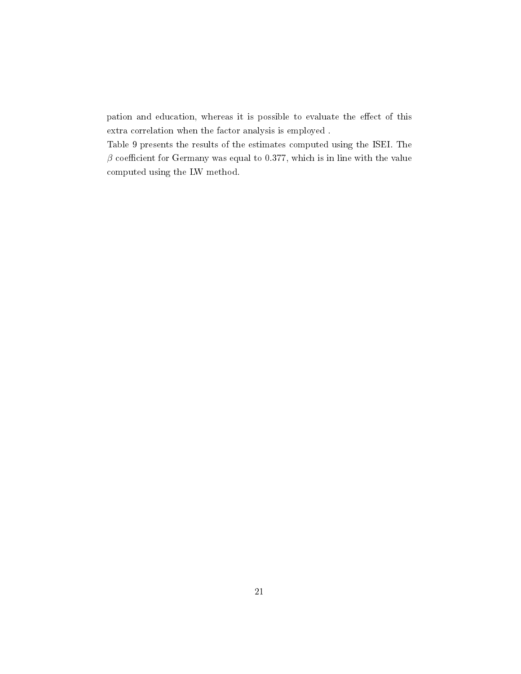pation and education, whereas it is possible to evaluate the effect of this extra correlation when the factor analysis is employed .

Table 9 presents the results of the estimates computed using the ISEI. The  $\beta$  coefficient for Germany was equal to 0.377, which is in line with the value computed using the LW method.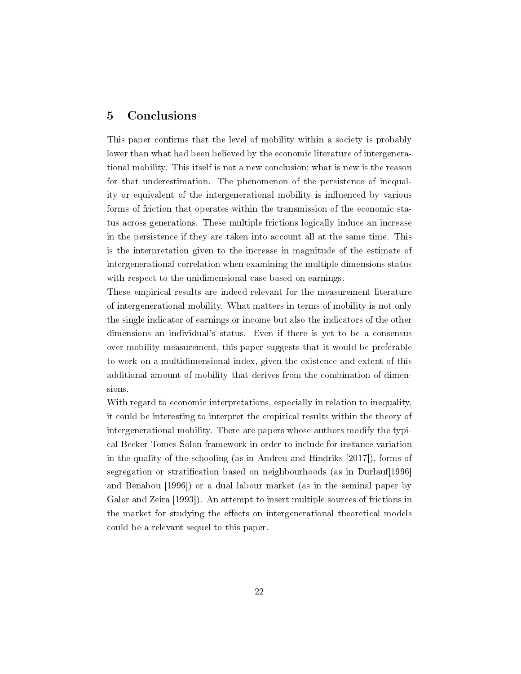#### 5 Conclusions

This paper confirms that the level of mobility within a society is probably lower than what had been believed by the economic literature of intergenerational mobility. This itself is not a new conclusion; what is new is the reason for that underestimation. The phenomenon of the persistence of inequality or equivalent of the intergenerational mobility is influenced by various forms of friction that operates within the transmission of the economic status across generations. These multiple frictions logically induce an increase in the persistence if they are taken into account all at the same time. This is the interpretation given to the increase in magnitude of the estimate of intergenerational correlation when examining the multiple dimensions status with respect to the unidimensional case based on earnings.

These empirical results are indeed relevant for the measurement literature of intergenerational mobility. What matters in terms of mobility is not only the single indicator of earnings or income but also the indicators of the other dimensions an individual's status. Even if there is yet to be a consensus over mobility measurement, this paper suggests that it would be preferable to work on a multidimensional index, given the existence and extent of this additional amount of mobility that derives from the combination of dimensions.

With regard to economic interpretations, especially in relation to inequality, it could be interesting to interpret the empirical results within the theory of intergenerational mobility. There are papers whose authors modify the typical Becker-Tomes-Solon framework in order to include for instance variation in the quality of the schooling (as in Andreu and Hindriks [2017]), forms of segregation or stratification based on neighbourhoods (as in Durlauf [1996] and Benabou [1996]) or a dual labour market (as in the seminal paper by Galor and Zeira [1993]). An attempt to insert multiple sources of frictions in the market for studying the effects on intergenerational theoretical models could be a relevant sequel to this paper.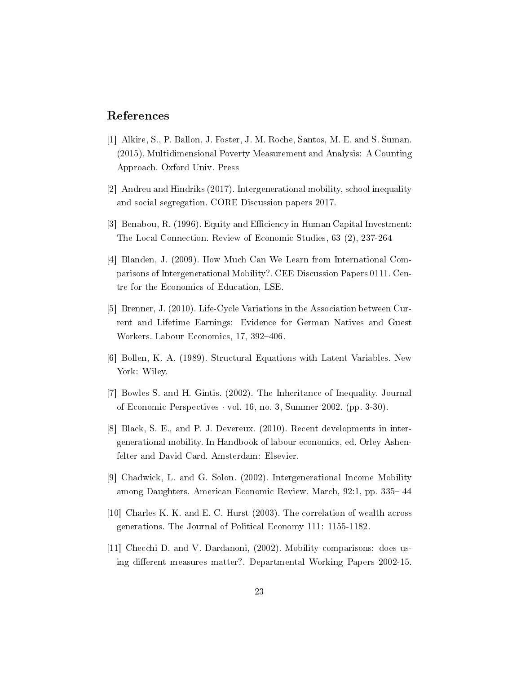#### References

- [1] Alkire, S., P. Ballon, J. Foster, J. M. Roche, Santos, M. E. and S. Suman. (2015). Multidimensional Poverty Measurement and Analysis: A Counting Approach. Oxford Univ. Press
- [2] Andreu and Hindriks (2017). Intergenerational mobility, school inequality and social segregation. CORE Discussion papers 2017.
- [3] Benabou, R. (1996). Equity and Efficiency in Human Capital Investment: The Local Connection. Review of Economic Studies, 63 (2), 237-264
- [4] Blanden, J. (2009). How Much Can We Learn from International Comparisons of Intergenerational Mobility?. CEE Discussion Papers 0111. Centre for the Economics of Education, LSE.
- [5] Brenner, J. (2010). Life-Cycle Variations in the Association between Current and Lifetime Earnings: Evidence for German Natives and Guest Workers. Labour Economics, 17, 392-406.
- [6] Bollen, K. A. (1989). Structural Equations with Latent Variables. New York: Wiley.
- [7] Bowles S. and H. Gintis. (2002). The Inheritance of Inequality. Journal of Economic Perspectives  $\cdot$  vol. 16, no. 3, Summer 2002. (pp. 3-30).
- [8] Black, S. E., and P. J. Devereux. (2010). Recent developments in intergenerational mobility. In Handbook of labour economics, ed. Orley Ashenfelter and David Card. Amsterdam: Elsevier.
- [9] Chadwick, L. and G. Solon. (2002). Intergenerational Income Mobility among Daughters. American Economic Review. March, 92:1, pp. 335–44
- [10] Charles K. K. and E. C. Hurst (2003). The correlation of wealth across generations. The Journal of Political Economy 111: 1155-1182.
- [11] Checchi D. and V. Dardanoni, (2002). Mobility comparisons: does using different measures matter?. Departmental Working Papers 2002-15.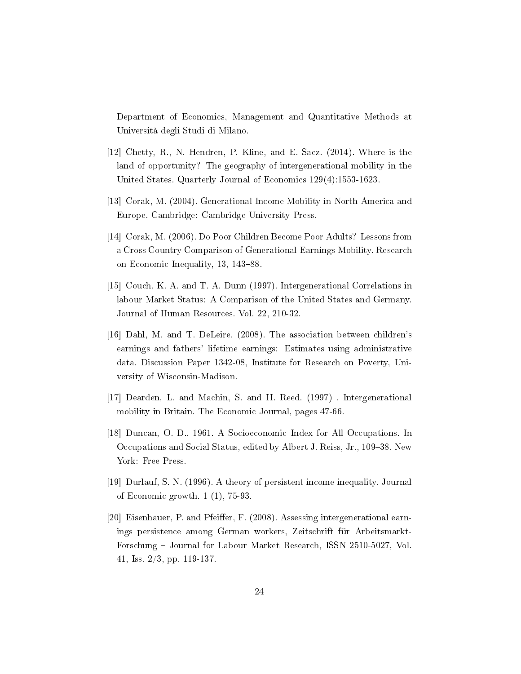Department of Economics, Management and Quantitative Methods at Università degli Studi di Milano.

- [12] Chetty, R., N. Hendren, P. Kline, and E. Saez. (2014). Where is the land of opportunity? The geography of intergenerational mobility in the United States. Quarterly Journal of Economics 129(4):1553-1623.
- [13] Corak, M. (2004). Generational Income Mobility in North America and Europe. Cambridge: Cambridge University Press.
- [14] Corak, M. (2006). Do Poor Children Become Poor Adults? Lessons from a Cross Country Comparison of Generational Earnings Mobility. Research on Economic Inequality, 13, 143–88.
- [15] Couch, K. A. and T. A. Dunn (1997). Intergenerational Correlations in labour Market Status: A Comparison of the United States and Germany. Journal of Human Resources. Vol. 22, 210-32.
- [16] Dahl, M. and T. DeLeire. (2008). The association between children's earnings and fathers' lifetime earnings: Estimates using administrative data. Discussion Paper 1342-08, Institute for Research on Poverty, University of Wisconsin-Madison.
- [17] Dearden, L. and Machin, S. and H. Reed. (1997) . Intergenerational mobility in Britain. The Economic Journal, pages 47-66.
- [18] Duncan, O. D.. 1961. A Socioeconomic Index for All Occupations. In Occupations and Social Status, edited by Albert J. Reiss, Jr., 109–38. New York: Free Press.
- [19] Durlauf, S. N. (1996). A theory of persistent income inequality. Journal of Economic growth. 1 (1), 75-93.
- [20] Eisenhauer, P. and Pfeiffer, F. (2008). Assessing intergenerational earnings persistence among German workers, Zeitschrift für Arbeitsmarkt-Forschung – Journal for Labour Market Research, ISSN 2510-5027, Vol. 41, Iss. 2/3, pp. 119-137.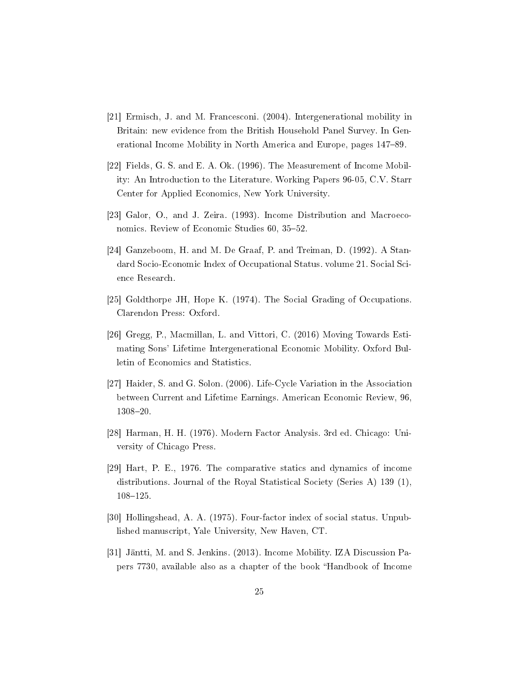- [21] Ermisch, J. and M. Francesconi. (2004). Intergenerational mobility in Britain: new evidence from the British Household Panel Survey. In Generational Income Mobility in North America and Europe, pages 147-89.
- [22] Fields, G. S. and E. A. Ok. (1996). The Measurement of Income Mobility: An Introduction to the Literature. Working Papers 96-05, C.V. Starr Center for Applied Economics, New York University.
- [23] Galor, O., and J. Zeira. (1993). Income Distribution and Macroeconomics. Review of Economic Studies 60, 35-52.
- [24] Ganzeboom, H. and M. De Graaf, P. and Treiman, D. (1992). A Standard Socio-Economic Index of Occupational Status. volume 21. Social Science Research.
- [25] Goldthorpe JH, Hope K. (1974). The Social Grading of Occupations. Clarendon Press: Oxford.
- [26] Gregg, P., Macmillan, L. and Vittori, C. (2016) Moving Towards Estimating Sons' Lifetime Intergenerational Economic Mobility. Oxford Bulletin of Economics and Statistics.
- [27] Haider, S. and G. Solon. (2006). Life-Cycle Variation in the Association between Current and Lifetime Earnings. American Economic Review, 96, 1308-20.
- [28] Harman, H. H. (1976). Modern Factor Analysis. 3rd ed. Chicago: University of Chicago Press.
- [29] Hart, P. E., 1976. The comparative statics and dynamics of income distributions. Journal of the Royal Statistical Society (Series A) 139 (1),  $108 - 125$ .
- [30] Hollingshead, A. A. (1975). Four-factor index of social status. Unpublished manuscript, Yale University, New Haven, CT.
- [31] Jäntti, M. and S. Jenkins. (2013). Income Mobility. IZA Discussion Papers 7730, available also as a chapter of the book Handbook of Income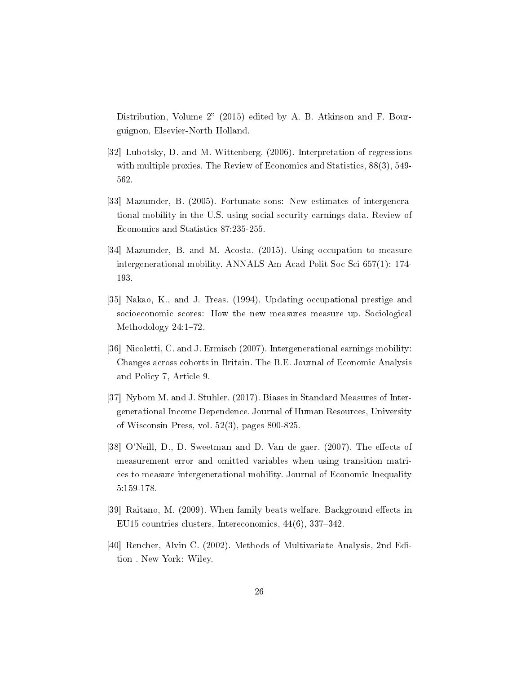Distribution, Volume  $2$ " (2015) edited by A. B. Atkinson and F. Bourguignon, Elsevier-North Holland.

- [32] Lubotsky, D. and M. Wittenberg. (2006). Interpretation of regressions with multiple proxies. The Review of Economics and Statistics, 88(3), 549- 562.
- [33] Mazumder, B. (2005). Fortunate sons: New estimates of intergenerational mobility in the U.S. using social security earnings data. Review of Economics and Statistics 87:235-255.
- [34] Mazumder, B. and M. Acosta. (2015). Using occupation to measure intergenerational mobility. ANNALS Am Acad Polit Soc Sci 657(1): 174- 193.
- [35] Nakao, K., and J. Treas. (1994). Updating occupational prestige and socioeconomic scores: How the new measures measure up. Sociological Methodology  $24:1-72$ .
- [36] Nicoletti, C. and J. Ermisch (2007). Intergenerational earnings mobility: Changes across cohorts in Britain. The B.E. Journal of Economic Analysis and Policy 7, Article 9.
- [37] Nybom M. and J. Stuhler. (2017). Biases in Standard Measures of Intergenerational Income Dependence. Journal of Human Resources, University of Wisconsin Press, vol. 52(3), pages 800-825.
- [38] O'Neill, D., D. Sweetman and D. Van de gaer. (2007). The effects of measurement error and omitted variables when using transition matrices to measure intergenerational mobility. Journal of Economic Inequality 5:159-178.
- [39] Raitano, M. (2009). When family beats welfare. Background effects in EU15 countries clusters, Intereconomics,  $44(6)$ ,  $337-342$ .
- [40] Rencher, Alvin C. (2002). Methods of Multivariate Analysis, 2nd Edition . New York: Wiley.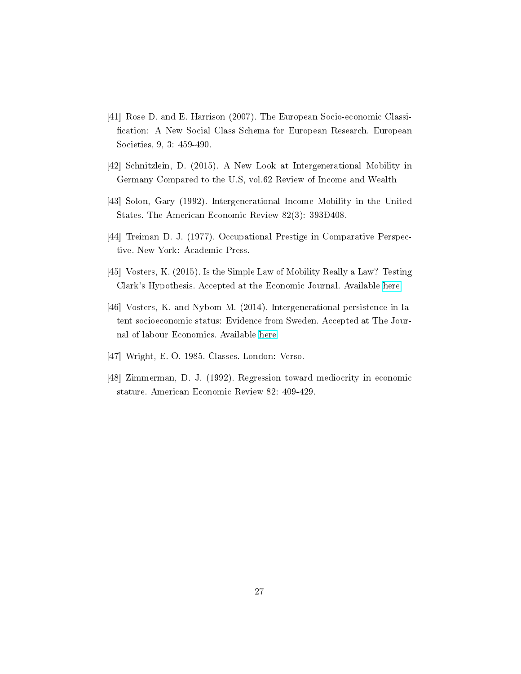- [41] Rose D. and E. Harrison (2007). The European Socio-economic Classi fication: A New Social Class Schema for European Research. European Societies, 9, 3: 459-490.
- [42] Schnitzlein, D. (2015). A New Look at Intergenerational Mobility in Germany Compared to the U.S, vol.62 Review of Income and Wealth
- [43] Solon, Gary (1992). Intergenerational Income Mobility in the United States. The American Economic Review 82(3): 393Ð408.
- [44] Treiman D. J. (1977). Occupational Prestige in Comparative Perspective. New York: Academic Press.
- [45] Vosters, K. (2015). Is the Simple Law of Mobility Really a Law? Testing Clark's Hypothesis. Accepted at the Economic Journal. Available [here](https://docs.google.com/viewer?a=v&pid=sites&srcid=ZGVmYXVsdGRvbWFpbnxrZWxseW52b3N0ZXJzfGd4OjZkYzc1ZDMwYzFhMGRiODU#category.name)
- [46] Vosters, K. and Nybom M. (2014). Intergenerational persistence in latent socioeconomic status: Evidence from Sweden. Accepted at The Journal of labour Economics. Available [here](https://docs.google.com/viewer?a=v&pid=sites&srcid=ZGVmYXVsdGRvbWFpbnxrZWxseW52b3N0ZXJzfGd4OjFiMDQwYjNhYzY0MjhlZWY#category.name)
- [47] Wright, E. O. 1985. Classes. London: Verso.
- [48] Zimmerman, D. J. (1992). Regression toward mediocrity in economic stature. American Economic Review 82: 409-429.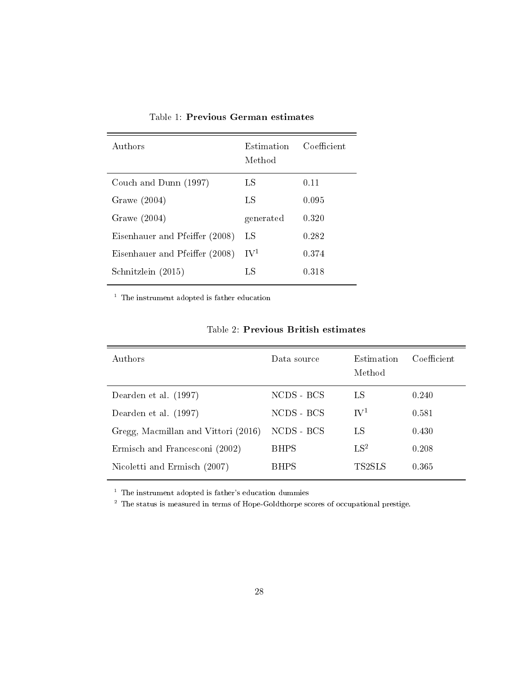| Authors                        | Estimation<br>Method | Coefficient |
|--------------------------------|----------------------|-------------|
| Couch and Dunn (1997)          | LS                   | 0.11        |
| Grawe $(2004)$                 | LS                   | 0.095       |
| Grawe $(2004)$                 | generated            | 0.320       |
| Eisenhauer and Pfeiffer (2008) | LS                   | 0.282       |
| Eisenhauer and Pfeiffer (2008) | $\mathrm{IV}^1$      | 0.374       |
| Schnitzlein (2015)             | LS                   | 0.318       |

Table 1: Previous German estimates

 $^{\mathrm{1}}$  The instrument adopted is father education

| Authors                             | Data source | Estimation<br>Method | Coefficient |
|-------------------------------------|-------------|----------------------|-------------|
| Dearden et al. (1997)               | NCDS - BCS  | LS                   | 0.240       |
| Dearden et al. (1997)               | NCDS - BCS  | $\rm\,IV^1$          | 0.581       |
| Gregg, Macmillan and Vittori (2016) | NCDS - BCS  | LS                   | 0.430       |
| Ermisch and Francesconi (2002)      | <b>BHPS</b> | $LS^2$               | 0.208       |
| Nicoletti and Ermisch (2007)        | <b>BHPS</b> | TS2SLS               | 0.365       |

 $^\mathrm{1}$  The instrument adopted is father's education dummies

<sup>2</sup> The status is measured in terms of Hope-Goldthorpe scores of occupational prestige.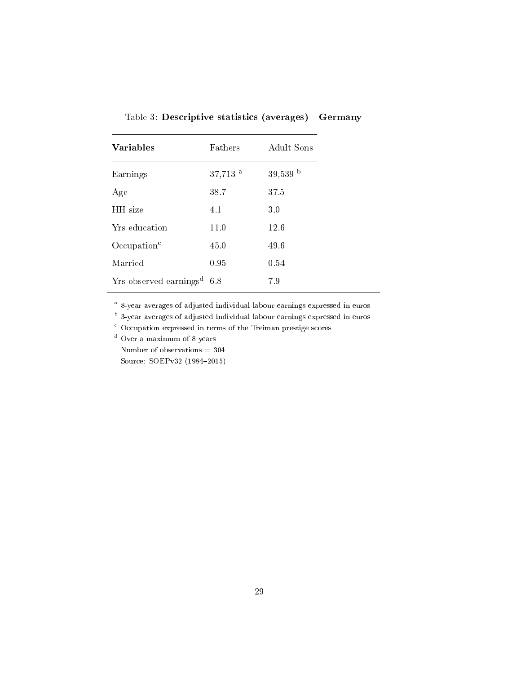| <b>Variables</b>                         | <b>Fathers</b>        | Adult Sons |
|------------------------------------------|-----------------------|------------|
| Earnings                                 | $37,713$ <sup>a</sup> | $39,539$ b |
| Age                                      | 38.7                  | 37.5       |
| HH size                                  | 4.1                   | 3.0        |
| Yrs education                            | 11.0                  | 12.6       |
| Occulation <sup>c</sup>                  | 45.0                  | 49.6       |
| Married                                  | 0.95                  | 0.54       |
| $Yrs$ observed earnings <sup>d</sup> 6.8 |                       | 7.9        |

Table 3: Descriptive statistics (averages) - Germany

<sup>a</sup> 8-year averages of adjusted individual labour earnings expressed in euros

<sup>b</sup> 3-year averages of adjusted individual labour earnings expressed in euros

<sup>c</sup> Occupation expressed in terms of the Treiman prestige scores

<sup>d</sup> Over a maximum of 8 years

Number of observations = 304 Source: SOEPv32 (1984-2015)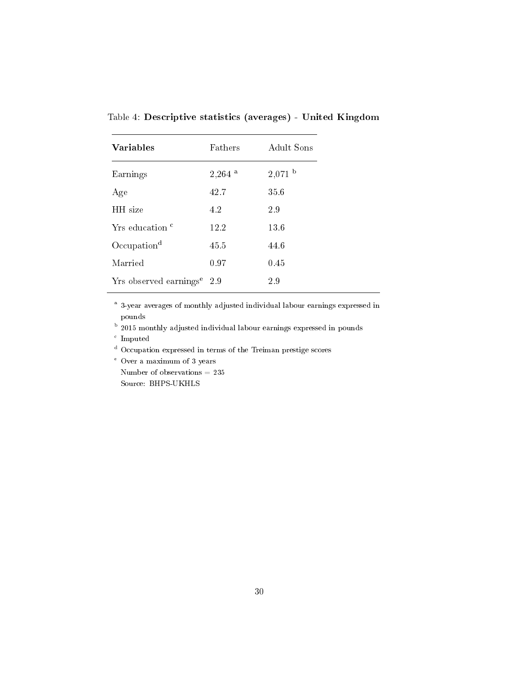| <b>Variables</b>                       | <b>Fathers</b>       | Adult Sons |
|----------------------------------------|----------------------|------------|
| Earnings                               | $2,264$ <sup>a</sup> | $2,071$ b  |
| Age                                    | 42.7                 | 35.6       |
| HH size                                | 4.2                  | 2.9        |
| Yrs education <sup>c</sup>             | 12.2                 | 13.6       |
| Occupation <sup>d</sup>                | 45.5                 | 44.6       |
| Married                                | 0.97                 | 0.45       |
| Yrs observed earnings <sup>e</sup> 2.9 |                      | 2.9        |

Table 4: Descriptive statistics (averages) - United Kingdom

<sup>a</sup> 3-year averages of monthly adjusted individual labour earnings expressed in pounds

**b** 2015 monthly adjusted individual labour earnings expressed in pounds

c Imputed

<sup>d</sup> Occupation expressed in terms of the Treiman prestige scores

<sup>e</sup> Over a maximum of 3 years

Number of observations  $= 235$ Source: BHPS-UKHLS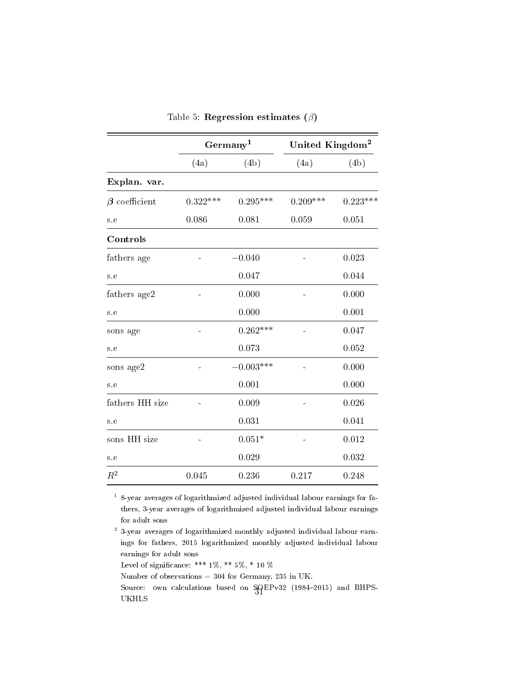|                     | Germany <sup>1</sup> |              | United Kingdom <sup>2</sup> |            |
|---------------------|----------------------|--------------|-----------------------------|------------|
|                     | (4a)                 | (4b)         | (4a)                        | (4b)       |
| Explan. var.        |                      |              |                             |            |
| $\beta$ coefficient | $0.322***$           | $0.295***$   | $0.209***$                  | $0.223***$ |
| s.e                 | 0.086                | 0.081        | 0.059                       | 0.051      |
| Controls            |                      |              |                             |            |
| fathers age         |                      | $-0.040$     |                             | 0.023      |
| s.e                 |                      | 0.047        |                             | 0.044      |
| fathers age2        |                      | 0.000        |                             | 0.000      |
| s.e                 |                      | 0.000        |                             | 0.001      |
| sons age            |                      | $0.262***$   |                             | 0.047      |
| s.e                 |                      | 0.073        |                             | 0.052      |
| sons age2           |                      | $-0.003$ *** |                             | 0.000      |
| s.e                 |                      | 0.001        |                             | 0.000      |
| fathers HH size     |                      | 0.009        |                             | 0.026      |
| s.e                 |                      | 0.031        |                             | 0.041      |
| sons HH size        |                      | $0.051*$     |                             | 0.012      |
| s.e                 |                      | 0.029        |                             | 0.032      |
| $R^2$               | 0.045                | 0.236        | 0.217                       | 0.248      |

Table 5: Regression estimates  $(\beta)$ 

1 8-year averages of logarithmized adjusted individual labour earnings for fathers, 3-year averages of logarithmized adjusted individual labour earnings for adult sons

<sup>2</sup> 3-year averages of logarithmized monthly adjusted individual labour earnings for fathers, 2015 logarithmized monthly adjusted individual labour earnings for adult sons

Level of significance: \*\*\* 1%, \*\* 5%, \* 10 %

Number of observations = 304 for Germany, 235 in UK.

Source: own calculations based on  $\frac{SQ}{S1}$ Pv32 (1984–2015) and BHPS-UKHLS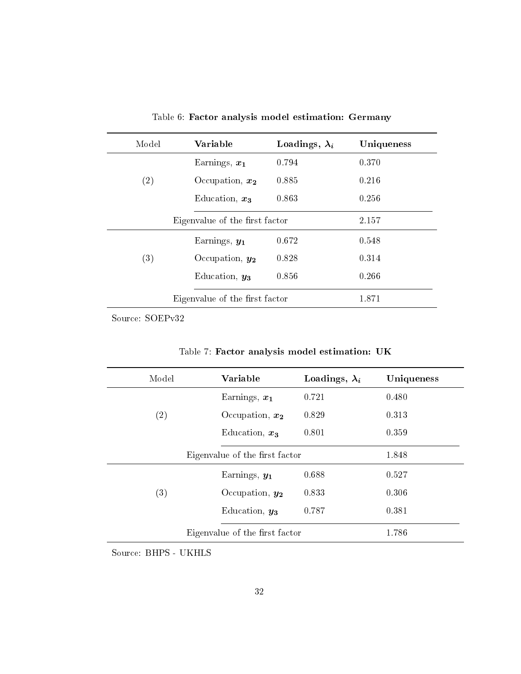| Model                          | Variable                       | Loadings, $\lambda_i$ | Uniqueness |
|--------------------------------|--------------------------------|-----------------------|------------|
|                                | Earnings, $x_1$                | 0.794                 | 0.370      |
| (2)                            | Occupation, $x_2$              | 0.885                 | 0.216      |
|                                | Education, $x_3$               | 0.863                 | 0.256      |
|                                | Eigenvalue of the first factor |                       | 2.157      |
|                                | Earnings, $y_1$                | 0.672                 | 0.548      |
| (3)                            | Occupation, $y_2$              | 0.828                 | 0.314      |
|                                | Education, $y_3$               | 0.856                 | 0.266      |
| Eigenvalue of the first factor |                                | 1.871                 |            |

Table 6: Factor analysis model estimation: Germany

Source: SOEPv32

| Model             | Variable                       | Loadings, $\lambda_i$ | Uniqueness |
|-------------------|--------------------------------|-----------------------|------------|
|                   | Earnings, $x_1$                | 0.721                 | 0.480      |
| $\left( 2\right)$ | Occupation, $x_2$              | 0.829                 | 0.313      |
|                   | Education, $x_3$               | 0.801                 | 0.359      |
|                   | Eigenvalue of the first factor |                       | 1.848      |
|                   | Earnings, $y_1$                | 0.688                 | 0.527      |
| $\left( 3\right)$ | Occupation, $y_2$              | 0.833                 | 0.306      |
|                   | Education, $y_3$               | 0.787                 | 0.381      |
|                   | Eigenvalue of the first factor |                       | 1.786      |

Table 7: Factor analysis model estimation: UK

Source: BHPS - UKHLS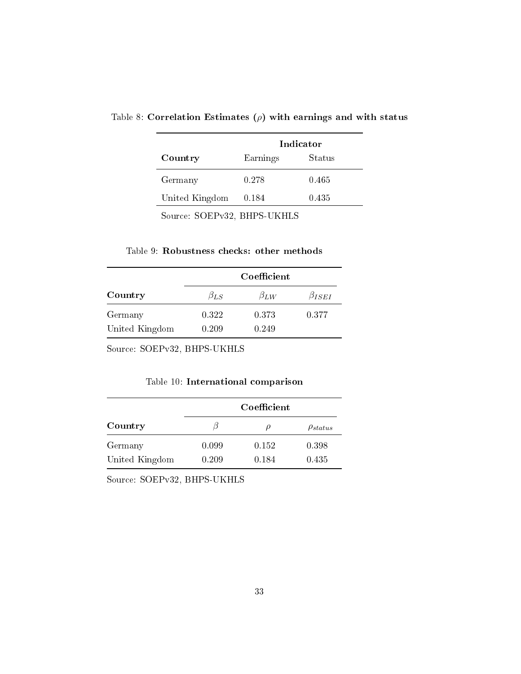|                | Indicator |        |  |
|----------------|-----------|--------|--|
| Country        | Earnings  | Status |  |
| Germany        | 0.278     | 0.465  |  |
| United Kingdom | 0.184     | 0.435  |  |

Table 8: Correlation Estimates  $(\rho)$  with earnings and with status

Source: SOEPv32, BHPS-UKHLS

#### Table 9: Robustness checks: other methods

|                | Coefficient  |              |                |
|----------------|--------------|--------------|----------------|
| Country        | $\beta_{LS}$ | $\beta_{LW}$ | $\beta_{ISEI}$ |
| Germany        | 0.322        | 0.373        | 0.377          |
| United Kingdom | 0.209        | 0.249        |                |

Source: SOEPv32, BHPS-UKHLS

Table 10: International comparison

|                | Coefficient |         |                 |
|----------------|-------------|---------|-----------------|
| Country        |             | $\iota$ | $\rho_{status}$ |
| Germany        | 0.099       | 0.152   | 0.398           |
| United Kingdom | 0.209       | 0.184   | 0.435           |

Source: SOEPv32, BHPS-UKHLS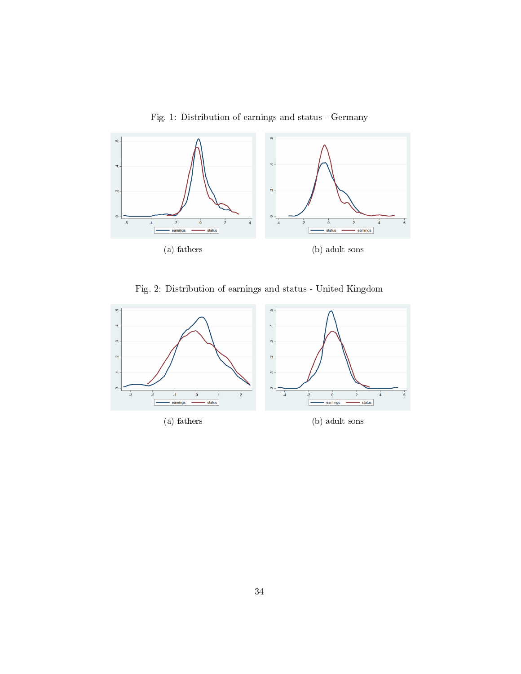

Fig. 1: Distribution of earnings and status - Germany

Fig. 2: Distribution of earnings and status - United Kingdom

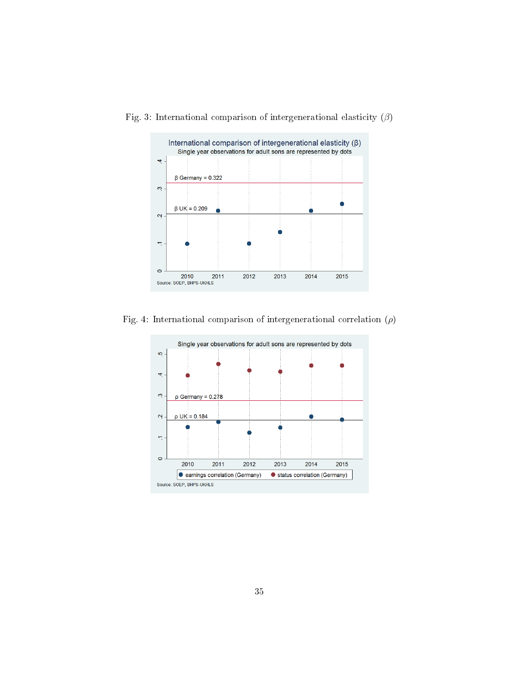

Fig. 3: International comparison of intergenerational elasticity  $(\beta)$ 

Fig. 4: International comparison of intergenerational correlation  $(\rho)$ 

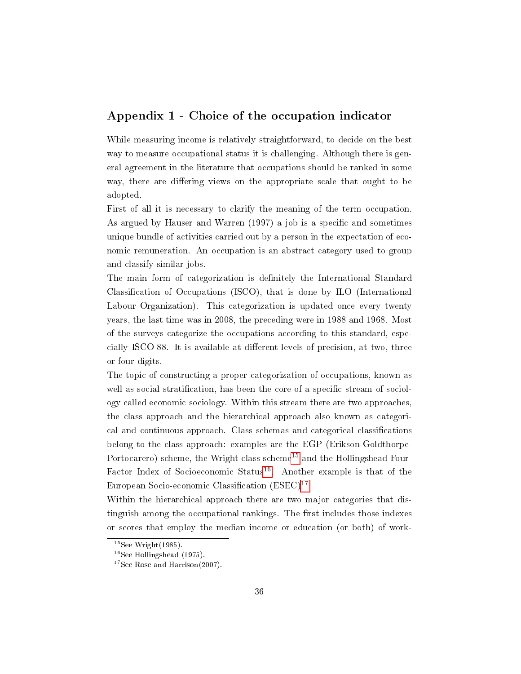#### Appendix 1 - Choice of the occupation indicator

While measuring income is relatively straightforward, to decide on the best way to measure occupational status it is challenging. Although there is general agreement in the literature that occupations should be ranked in some way, there are differing views on the appropriate scale that ought to be adopted.

First of all it is necessary to clarify the meaning of the term occupation. As argued by Hauser and Warren (1997) a job is a specific and sometimes unique bundle of activities carried out by a person in the expectation of economic remuneration. An occupation is an abstract category used to group and classify similar jobs.

The main form of categorization is definitely the International Standard Classication of Occupations (ISCO), that is done by ILO (International Labour Organization). This categorization is updated once every twenty years, the last time was in 2008, the preceding were in 1988 and 1968. Most of the surveys categorize the occupations according to this standard, especially ISCO-88. It is available at different levels of precision, at two, three or four digits.

The topic of constructing a proper categorization of occupations, known as well as social stratification, has been the core of a specific stream of sociology called economic sociology. Within this stream there are two approaches, the class approach and the hierarchical approach also known as categorical and continuous approach. Class schemas and categorical classifications belong to the class approach: examples are the EGP (Erikson-Goldthorpe-Portocarero) scheme, the Wright class scheme<sup>[15](#page-39-0)</sup> and the Hollingshead Four-Factor Index of Socioeconomic Status<sup>[16](#page-39-1)</sup>. Another example is that of the European Socio-economic Classification  $(ESEC)^{17}$  $(ESEC)^{17}$  $(ESEC)^{17}$ .

Within the hierarchical approach there are two major categories that distinguish among the occupational rankings. The first includes those indexes or scores that employ the median income or education (or both) of work-

<span id="page-39-0"></span> $15$ See Wright $(1985)$ .

<span id="page-39-1"></span> $16$ See Hollingshead (1975).

<span id="page-39-2"></span><sup>&</sup>lt;sup>17</sup>See Rose and Harrison(2007).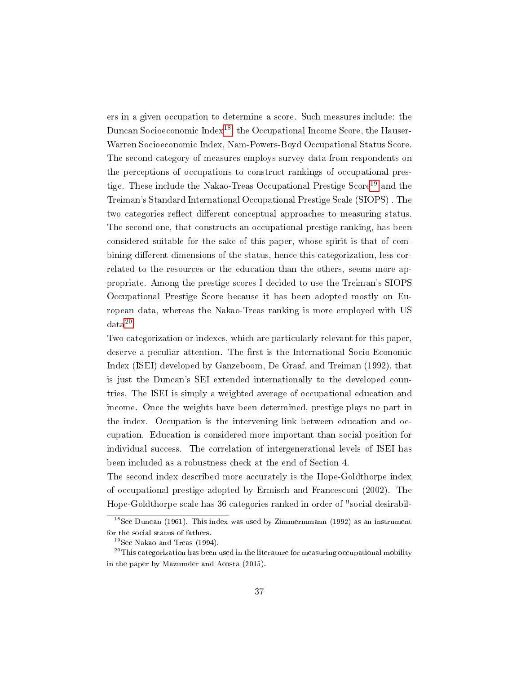ers in a given occupation to determine a score. Such measures include: the Duncan Socioeconomic Index<sup>[18](#page-40-0)</sup>, the Occupational Income Score, the Hauser-Warren Socioeconomic Index, Nam-Powers-Boyd Occupational Status Score. The second category of measures employs survey data from respondents on the perceptions of occupations to construct rankings of occupational pres-tige. These include the Nakao-Treas Occupational Prestige Score<sup>[19](#page-40-1)</sup> and the Treiman's Standard International Occupational Prestige Scale (SIOPS) . The two categories reflect different conceptual approaches to measuring status. The second one, that constructs an occupational prestige ranking, has been considered suitable for the sake of this paper, whose spirit is that of combining different dimensions of the status, hence this categorization, less correlated to the resources or the education than the others, seems more appropriate. Among the prestige scores I decided to use the Treiman's SIOPS Occupational Prestige Score because it has been adopted mostly on European data, whereas the Nakao-Treas ranking is more employed with US  $data^{20}$  $data^{20}$  $data^{20}$ .

Two categorization or indexes, which are particularly relevant for this paper, deserve a peculiar attention. The first is the International Socio-Economic Index (ISEI) developed by Ganzeboom, De Graaf, and Treiman (1992), that is just the Duncan's SEI extended internationally to the developed countries. The ISEI is simply a weighted average of occupational education and income. Once the weights have been determined, prestige plays no part in the index. Occupation is the intervening link between education and occupation. Education is considered more important than social position for individual success. The correlation of intergenerational levels of ISEI has been included as a robustness check at the end of Section 4.

The second index described more accurately is the Hope-Goldthorpe index of occupational prestige adopted by Ermisch and Francesconi (2002). The Hope-Goldthorpe scale has 36 categories ranked in order of "social desirabil-

<span id="page-40-0"></span> $18$ See Duncan (1961). This index was used by Zimmermmann (1992) as an instrument for the social status of fathers.

<span id="page-40-2"></span><span id="page-40-1"></span><sup>19</sup>See Nakao and Treas (1994).

 $^{20}\mathrm{This\;categorization\;has\;been\;used\;in\;the\;literature\;for\;measuring\;occupied\;mobility}$ in the paper by Mazumder and Acosta (2015).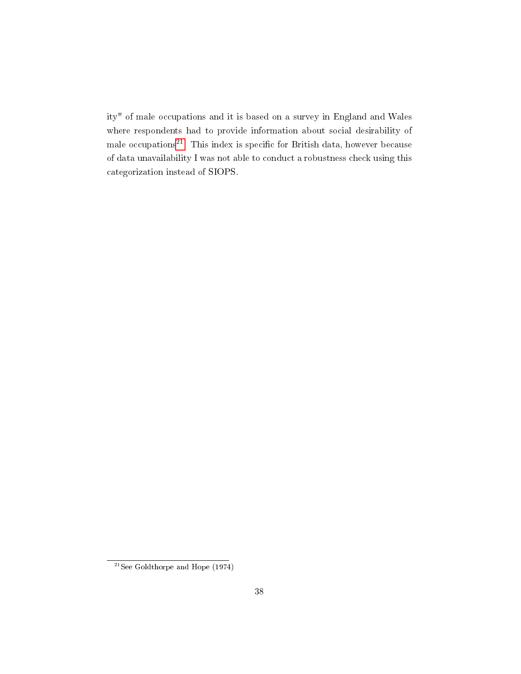ity" of male occupations and it is based on a survey in England and Wales where respondents had to provide information about social desirability of male occupations $^{21}$  $^{21}$  $^{21}$ . This index is specific for British data, however because of data unavailability I was not able to conduct a robustness check using this categorization instead of SIOPS.

<span id="page-41-0"></span><sup>&</sup>lt;sup>21</sup>See Goldthorpe and Hope  $(1974)$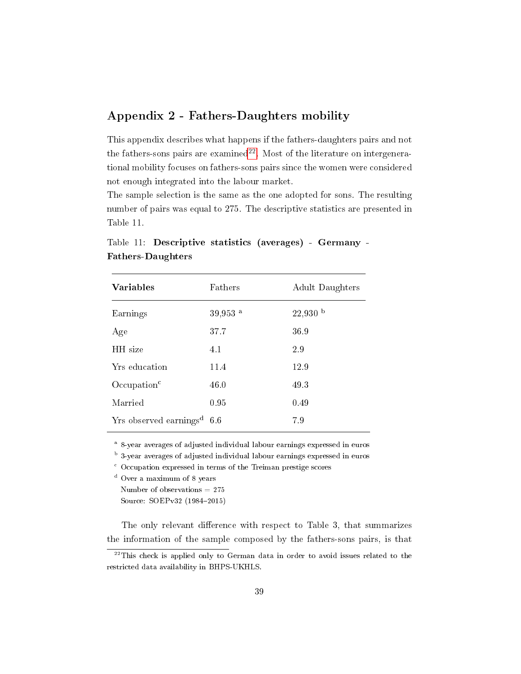## Appendix 2 - Fathers-Daughters mobility

This appendix describes what happens if the fathers-daughters pairs and not the fathers-sons pairs are examined<sup>[22](#page-42-0)</sup>. Most of the literature on intergenerational mobility focuses on fathers-sons pairs since the women were considered not enough integrated into the labour market.

The sample selection is the same as the one adopted for sons. The resulting number of pairs was equal to 275. The descriptive statistics are presented in Table 11.

| <b>Variables</b>                   | Fathers               | Adult Daughters |
|------------------------------------|-----------------------|-----------------|
| Earnings                           | $39,953$ <sup>a</sup> | $22,930$ b      |
| Age                                | 37.7                  | 36.9            |
| HH size                            | 4.1                   | 2.9             |
| Yrs education                      | 11.4                  | 12.9            |
| Occurbation <sup>c</sup>           | 46.0                  | 49.3            |
| Married                            | 0.95                  | 0.49            |
| Yrs observed earnings <sup>d</sup> | 6.6                   | 7.9             |

Table 11: Descriptive statistics (averages) - Germany - Fathers-Daughters

<sup>a</sup> 8-year averages of adjusted individual labour earnings expressed in euros

<sup>b</sup> 3-year averages of adjusted individual labour earnings expressed in euros

 $\degree$  Occupation expressed in terms of the Treiman prestige scores

<sup>d</sup> Over a maximum of 8 years

Number of observations = 275 Source: SOEPv32 (1984-2015)

The only relevant difference with respect to Table 3, that summarizes the information of the sample composed by the fathers-sons pairs, is that

<span id="page-42-0"></span> $22$ This check is applied only to German data in order to avoid issues related to the restricted data availability in BHPS-UKHLS.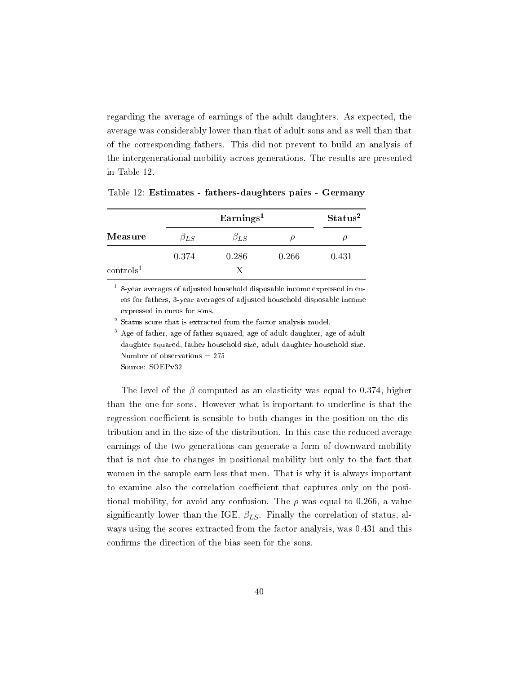regarding the average of earnings of the adult daughters. As expected, the average was considerably lower than that of adult sons and as well than that of the corresponding fathers. This did not prevent to build an analysis of the intergenerational mobility across generations. The results are presented in Table 12.

|                  |              | Status <sup>2</sup> |       |       |
|------------------|--------------|---------------------|-------|-------|
| Measure          | $\beta_{LS}$ | $\beta_{LS}$        |       |       |
|                  | 0.374        | 0.286               | 0.266 | 0.431 |
| $\rm controls^1$ |              | Х                   |       |       |

Table 12: Estimates - fathers-daughters pairs - Germany

 $1$  8-year averages of adjusted household disposable income expressed in euros for fathers, 3-year averages of adjusted household disposable income expressed in euros for sons.

<sup>2</sup> Status score that is extracted from the factor analysis model.

<sup>3</sup> Age of father, age of father squared, age of adult daughter, age of adult daughter squared, father household size, adult daughter household size. Number of observations = 275 Source: SOEPv32

The level of the  $\beta$  computed as an elasticity was equal to 0.374, higher than the one for sons. However what is important to underline is that the regression coefficient is sensible to both changes in the position on the distribution and in the size of the distribution. In this case the reduced average earnings of the two generations can generate a form of downward mobility that is not due to changes in positional mobility but only to the fact that women in the sample earn less that men. That is why it is always important to examine also the correlation coefficient that captures only on the positional mobility, for avoid any confusion. The  $\rho$  was equal to 0.266, a value significantly lower than the IGE,  $\beta_{LS}$ . Finally the correlation of status, always using the scores extracted from the factor analysis, was 0.431 and this confirms the direction of the bias seen for the sons.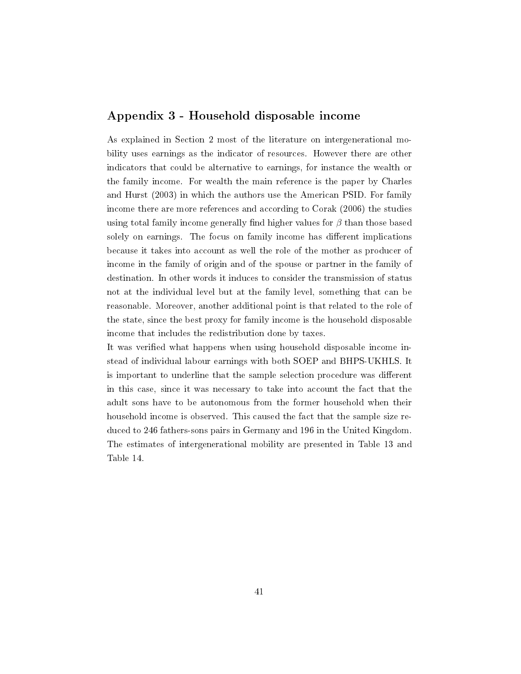#### Appendix 3 - Household disposable income

As explained in Section 2 most of the literature on intergenerational mobility uses earnings as the indicator of resources. However there are other indicators that could be alternative to earnings, for instance the wealth or the family income. For wealth the main reference is the paper by Charles and Hurst (2003) in which the authors use the American PSID. For family income there are more references and according to Corak (2006) the studies using total family income generally find higher values for  $\beta$  than those based solely on earnings. The focus on family income has different implications because it takes into account as well the role of the mother as producer of income in the family of origin and of the spouse or partner in the family of destination. In other words it induces to consider the transmission of status not at the individual level but at the family level, something that can be reasonable. Moreover, another additional point is that related to the role of the state, since the best proxy for family income is the household disposable income that includes the redistribution done by taxes.

It was verified what happens when using household disposable income instead of individual labour earnings with both SOEP and BHPS-UKHLS. It is important to underline that the sample selection procedure was different in this case, since it was necessary to take into account the fact that the adult sons have to be autonomous from the former household when their household income is observed. This caused the fact that the sample size reduced to 246 fathers-sons pairs in Germany and 196 in the United Kingdom. The estimates of intergenerational mobility are presented in Table 13 and Table 14.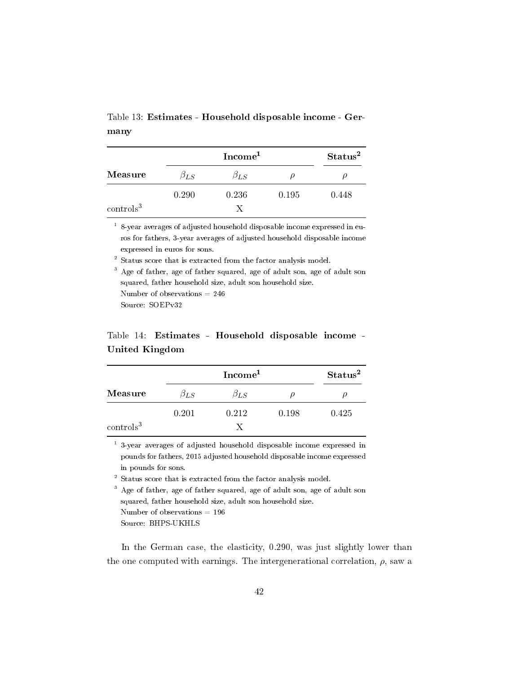Table 13: Estimates - Household disposable income - Germany

|                  |              | Status <sup>2</sup> |       |       |
|------------------|--------------|---------------------|-------|-------|
| Measure          | $\beta_{LS}$ | $\beta_{LS}$        |       |       |
|                  | 0.290        | 0.236               | 0.195 | 0.448 |
| $\rm controls^3$ |              | X                   |       |       |

 $1$  8-year averages of adjusted household disposable income expressed in euros for fathers, 3-year averages of adjusted household disposable income expressed in euros for sons.

<sup>2</sup> Status score that is extracted from the factor analysis model.

<sup>3</sup> Age of father, age of father squared, age of adult son, age of adult son squared, father household size, adult son household size. Number of observations = 246 Source: SOEPv32

### Table 14: Estimates - Household disposable income - United Kingdom

|                  |              | Status <sup>2</sup> |       |       |
|------------------|--------------|---------------------|-------|-------|
| Measure          | $\beta_{LS}$ | $\beta_{LS}$        |       |       |
|                  | 0.201        | 0.212               | 0.198 | 0.425 |
| $\rm controls^3$ |              |                     |       |       |

1 3-year averages of adjusted household disposable income expressed in pounds for fathers, 2015 adjusted household disposable income expressed in pounds for sons.

<sup>2</sup> Status score that is extracted from the factor analysis model.

<sup>3</sup> Age of father, age of father squared, age of adult son, age of adult son squared, father household size, adult son household size. Number of observations  $= 196$ 

Source: BHPS-UKHLS

In the German case, the elasticity, 0.290, was just slightly lower than the one computed with earnings. The intergenerational correlation,  $\rho$ , saw a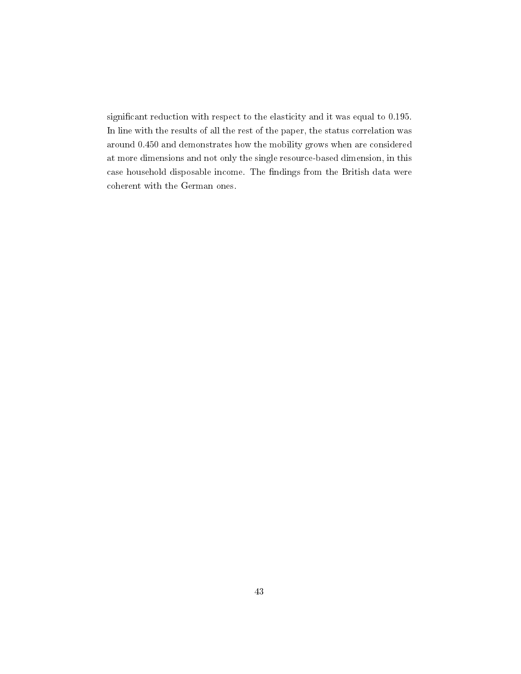significant reduction with respect to the elasticity and it was equal to 0.195. In line with the results of all the rest of the paper, the status correlation was around 0.450 and demonstrates how the mobility grows when are considered at more dimensions and not only the single resource-based dimension, in this case household disposable income. The findings from the British data were coherent with the German ones.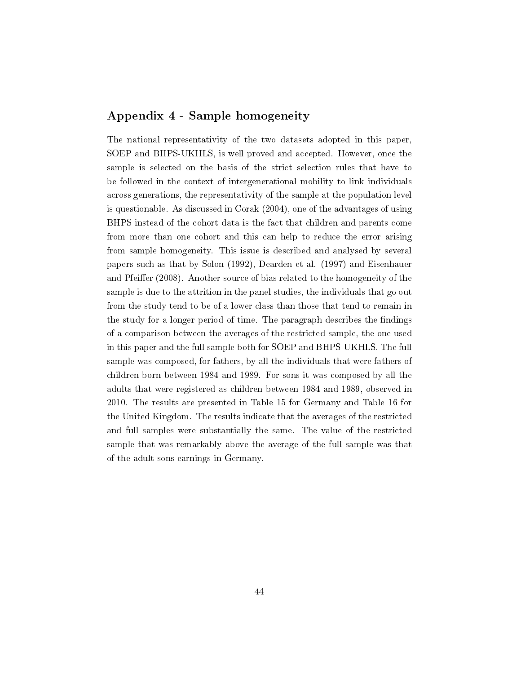#### Appendix 4 - Sample homogeneity

The national representativity of the two datasets adopted in this paper, SOEP and BHPS-UKHLS, is well proved and accepted. However, once the sample is selected on the basis of the strict selection rules that have to be followed in the context of intergenerational mobility to link individuals across generations, the representativity of the sample at the population level is questionable. As discussed in Corak (2004), one of the advantages of using BHPS instead of the cohort data is the fact that children and parents come from more than one cohort and this can help to reduce the error arising from sample homogeneity. This issue is described and analysed by several papers such as that by Solon (1992), Dearden et al. (1997) and Eisenhauer and Pfeiffer (2008). Another source of bias related to the homogeneity of the sample is due to the attrition in the panel studies, the individuals that go out from the study tend to be of a lower class than those that tend to remain in the study for a longer period of time. The paragraph describes the findings of a comparison between the averages of the restricted sample, the one used in this paper and the full sample both for SOEP and BHPS-UKHLS. The full sample was composed, for fathers, by all the individuals that were fathers of children born between 1984 and 1989. For sons it was composed by all the adults that were registered as children between 1984 and 1989, observed in 2010. The results are presented in Table 15 for Germany and Table 16 for the United Kingdom. The results indicate that the averages of the restricted and full samples were substantially the same. The value of the restricted sample that was remarkably above the average of the full sample was that of the adult sons earnings in Germany.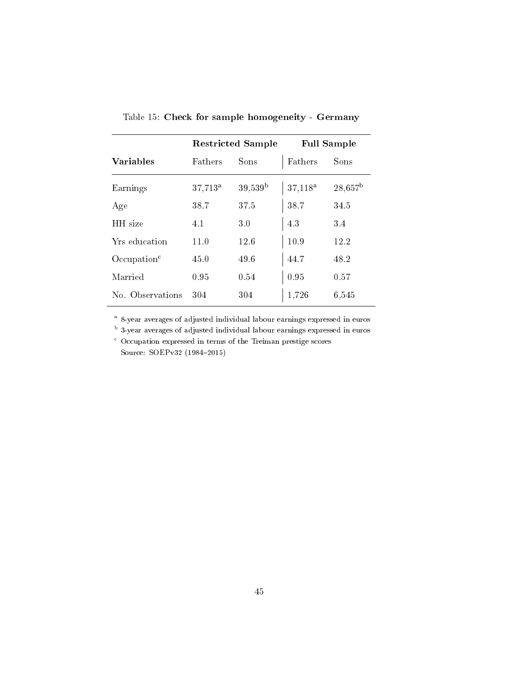|                         | <b>Restricted Sample</b> |                  | <b>Full Sample</b> |                  |
|-------------------------|--------------------------|------------------|--------------------|------------------|
| <b>Variables</b>        | Fathers                  | Sons             | Fathers            | Sons             |
| Earnings                | 37,713 <sup>a</sup>      | $39,539^{\rm b}$ | $37,118^a$         | $28,657^{\rm b}$ |
| Age                     | 38.7                     | 37.5             | 38.7               | 34.5             |
| HH size                 | 4.1                      | 3.0              | 4.3                | 3.4              |
| Yrs education           | 11.0                     | 12.6             | 10.9               | 12.2             |
| Occulation <sup>c</sup> | 45.0                     | 49.6             | 44.7               | 48.2             |
| Married                 | 0.95                     | 0.54             | 0.95               | 0.57             |
| No. Observations        | 304                      | 304              | 1,726              | 6,545            |

Table 15: Check for sample homogeneity - Germany

<sup>a</sup> 8-year averages of adjusted individual labour earnings expressed in euros

<sup>b</sup> 3-year averages of adjusted individual labour earnings expressed in euros

<sup>c</sup> Occupation expressed in terms of the Treiman prestige scores Source: SOEPv32 (1984-2015)